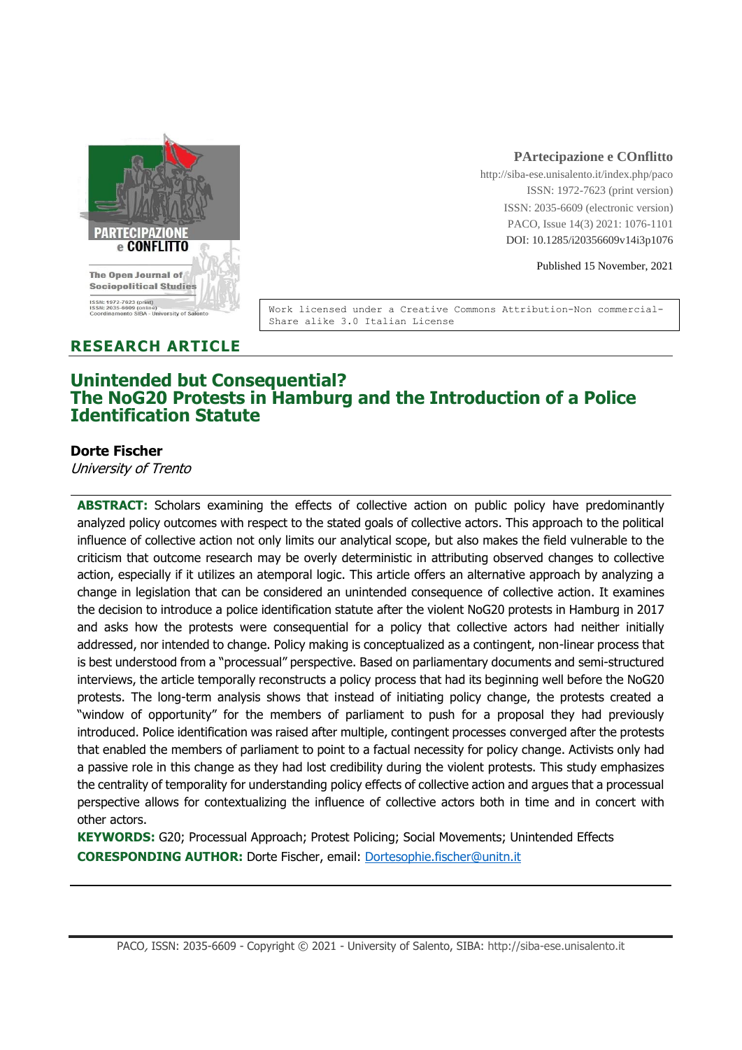

#### **PArtecipazione e COnflitto**

http://siba-ese.unisalento.it/index.php/paco ISSN: 1972-7623 (print version) ISSN: 2035-6609 (electronic version) PACO, Issue 14(3) 2021: 1076-1101 DOI: 10.1285/i20356609v14i3p1076

Published 15 November, 2021

Work licensed under a Creative Commons Attribution-Non commercial-Share alike 3.0 Italian License

# **RESEARCH ARTICLE**

# **Unintended but Consequential? The NoG20 Protests in Hamburg and the Introduction of a Police Identification Statute**

## **Dorte Fischer**

University of Trento

**ABSTRACT:** Scholars examining the effects of collective action on public policy have predominantly analyzed policy outcomes with respect to the stated goals of collective actors. This approach to the political influence of collective action not only limits our analytical scope, but also makes the field vulnerable to the criticism that outcome research may be overly deterministic in attributing observed changes to collective action, especially if it utilizes an atemporal logic. This article offers an alternative approach by analyzing a change in legislation that can be considered an unintended consequence of collective action. It examines the decision to introduce a police identification statute after the violent NoG20 protests in Hamburg in 2017 and asks how the protests were consequential for a policy that collective actors had neither initially addressed, nor intended to change. Policy making is conceptualized as a contingent, non-linear process that is best understood from a "processual" perspective. Based on parliamentary documents and semi-structured interviews, the article temporally reconstructs a policy process that had its beginning well before the NoG20 protests. The long-term analysis shows that instead of initiating policy change, the protests created a "window of opportunity" for the members of parliament to push for a proposal they had previously introduced. Police identification was raised after multiple, contingent processes converged after the protests that enabled the members of parliament to point to a factual necessity for policy change. Activists only had a passive role in this change as they had lost credibility during the violent protests. This study emphasizes the centrality of temporality for understanding policy effects of collective action and argues that a processual perspective allows for contextualizing the influence of collective actors both in time and in concert with other actors.

**KEYWORDS:** G20; Processual Approach; Protest Policing; Social Movements; Unintended Effects **CORESPONDING AUTHOR:** Dorte Fischer, email: [Dortesophie.fischer@unitn.it](mailto:Dortesophie.fischer@unitn.it)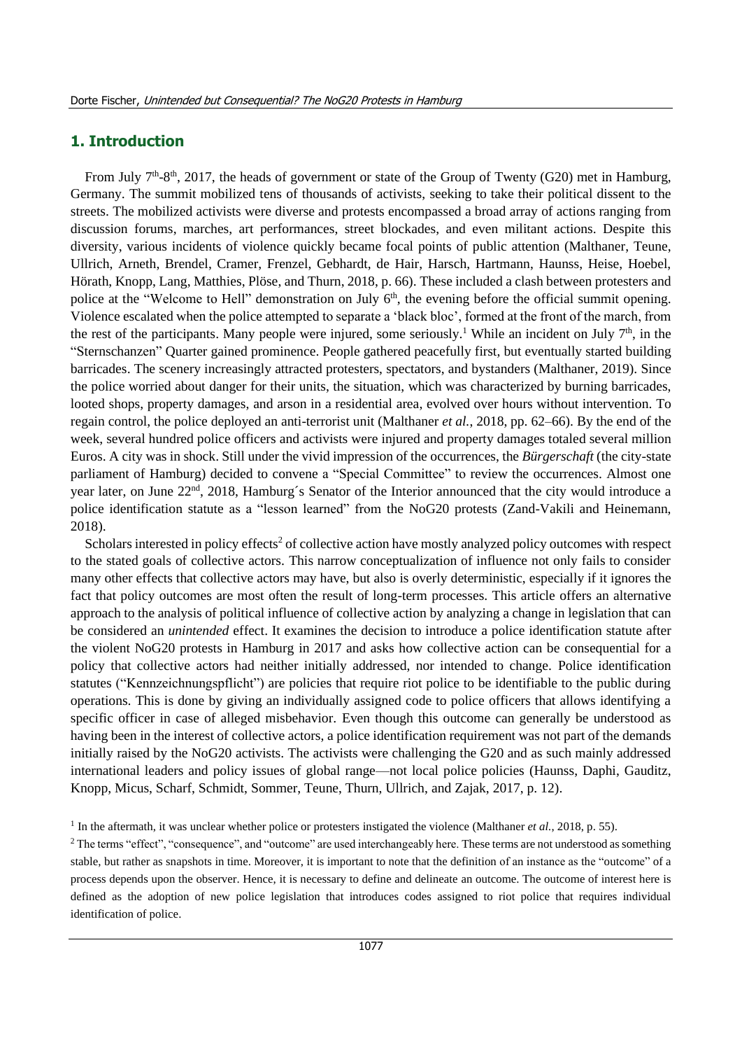# **1. Introduction**

From July  $7<sup>th</sup>$ -8<sup>th</sup>, 2017, the heads of government or state of the Group of Twenty (G20) met in Hamburg, Germany. The summit mobilized tens of thousands of activists, seeking to take their political dissent to the streets. The mobilized activists were diverse and protests encompassed a broad array of actions ranging from discussion forums, marches, art performances, street blockades, and even militant actions. Despite this diversity, various incidents of violence quickly became focal points of public attention (Malthaner, Teune, Ullrich, Arneth, Brendel, Cramer, Frenzel, Gebhardt, de Hair, Harsch, Hartmann, Haunss, Heise, Hoebel, Hörath, Knopp, Lang, Matthies, Plöse, and Thurn, 2018, p. 66). These included a clash between protesters and police at the "Welcome to Hell" demonstration on July 6<sup>th</sup>, the evening before the official summit opening. Violence escalated when the police attempted to separate a 'black bloc', formed at the front of the march, from the rest of the participants. Many people were injured, some seriously.<sup>1</sup> While an incident on July  $7<sup>th</sup>$ , in the "Sternschanzen" Quarter gained prominence. People gathered peacefully first, but eventually started building barricades. The scenery increasingly attracted protesters, spectators, and bystanders (Malthaner, 2019). Since the police worried about danger for their units, the situation, which was characterized by burning barricades, looted shops, property damages, and arson in a residential area, evolved over hours without intervention. To regain control, the police deployed an anti-terrorist unit (Malthaner *et al.*, 2018, pp. 62–66). By the end of the week, several hundred police officers and activists were injured and property damages totaled several million Euros. A city was in shock. Still under the vivid impression of the occurrences, the *Bürgerschaft* (the city-state parliament of Hamburg) decided to convene a "Special Committee" to review the occurrences. Almost one year later, on June 22<sup>nd</sup>, 2018, Hamburg's Senator of the Interior announced that the city would introduce a police identification statute as a "lesson learned" from the NoG20 protests (Zand-Vakili and Heinemann, 2018).

Scholars interested in policy effects<sup>2</sup> of collective action have mostly analyzed policy outcomes with respect to the stated goals of collective actors. This narrow conceptualization of influence not only fails to consider many other effects that collective actors may have, but also is overly deterministic, especially if it ignores the fact that policy outcomes are most often the result of long-term processes. This article offers an alternative approach to the analysis of political influence of collective action by analyzing a change in legislation that can be considered an *unintended* effect. It examines the decision to introduce a police identification statute after the violent NoG20 protests in Hamburg in 2017 and asks how collective action can be consequential for a policy that collective actors had neither initially addressed, nor intended to change. Police identification statutes ("Kennzeichnungspflicht") are policies that require riot police to be identifiable to the public during operations. This is done by giving an individually assigned code to police officers that allows identifying a specific officer in case of alleged misbehavior. Even though this outcome can generally be understood as having been in the interest of collective actors, a police identification requirement was not part of the demands initially raised by the NoG20 activists. The activists were challenging the G20 and as such mainly addressed international leaders and policy issues of global range—not local police policies (Haunss, Daphi, Gauditz, Knopp, Micus, Scharf, Schmidt, Sommer, Teune, Thurn, Ullrich, and Zajak, 2017, p. 12).

<sup>&</sup>lt;sup>1</sup> In the aftermath, it was unclear whether police or protesters instigated the violence (Malthaner *et al.*, 2018, p. 55).

<sup>&</sup>lt;sup>2</sup> The terms "effect", "consequence", and "outcome" are used interchangeably here. These terms are not understood as something stable, but rather as snapshots in time. Moreover, it is important to note that the definition of an instance as the "outcome" of a process depends upon the observer. Hence, it is necessary to define and delineate an outcome. The outcome of interest here is defined as the adoption of new police legislation that introduces codes assigned to riot police that requires individual identification of police.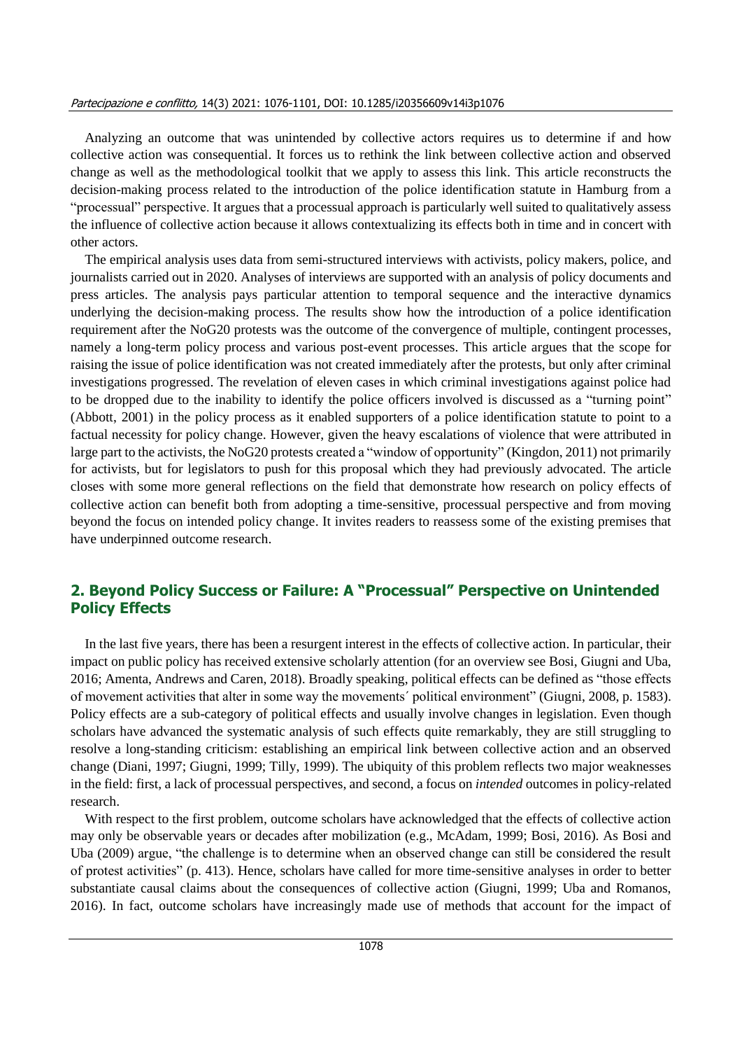#### Partecipazione e conflitto, 14(3) 2021: 1076-1101, DOI: 10.1285/i20356609v14i3p1076

Analyzing an outcome that was unintended by collective actors requires us to determine if and how collective action was consequential. It forces us to rethink the link between collective action and observed change as well as the methodological toolkit that we apply to assess this link. This article reconstructs the decision-making process related to the introduction of the police identification statute in Hamburg from a "processual" perspective. It argues that a processual approach is particularly well suited to qualitatively assess the influence of collective action because it allows contextualizing its effects both in time and in concert with other actors.

The empirical analysis uses data from semi-structured interviews with activists, policy makers, police, and journalists carried out in 2020. Analyses of interviews are supported with an analysis of policy documents and press articles. The analysis pays particular attention to temporal sequence and the interactive dynamics underlying the decision-making process. The results show how the introduction of a police identification requirement after the NoG20 protests was the outcome of the convergence of multiple, contingent processes, namely a long-term policy process and various post-event processes. This article argues that the scope for raising the issue of police identification was not created immediately after the protests, but only after criminal investigations progressed. The revelation of eleven cases in which criminal investigations against police had to be dropped due to the inability to identify the police officers involved is discussed as a "turning point" (Abbott, 2001) in the policy process as it enabled supporters of a police identification statute to point to a factual necessity for policy change. However, given the heavy escalations of violence that were attributed in large part to the activists, the NoG20 protests created a "window of opportunity" (Kingdon, 2011) not primarily for activists, but for legislators to push for this proposal which they had previously advocated. The article closes with some more general reflections on the field that demonstrate how research on policy effects of collective action can benefit both from adopting a time-sensitive, processual perspective and from moving beyond the focus on intended policy change. It invites readers to reassess some of the existing premises that have underpinned outcome research.

# **2. Beyond Policy Success or Failure: A "Processual" Perspective on Unintended Policy Effects**

In the last five years, there has been a resurgent interest in the effects of collective action. In particular, their impact on public policy has received extensive scholarly attention (for an overview see Bosi, Giugni and Uba, 2016; Amenta, Andrews and Caren, 2018). Broadly speaking, political effects can be defined as "those effects of movement activities that alter in some way the movements´ political environment" (Giugni, 2008, p. 1583). Policy effects are a sub-category of political effects and usually involve changes in legislation. Even though scholars have advanced the systematic analysis of such effects quite remarkably, they are still struggling to resolve a long-standing criticism: establishing an empirical link between collective action and an observed change (Diani, 1997; Giugni, 1999; Tilly, 1999). The ubiquity of this problem reflects two major weaknesses in the field: first, a lack of processual perspectives, and second, a focus on *intended* outcomes in policy-related research.

With respect to the first problem, outcome scholars have acknowledged that the effects of collective action may only be observable years or decades after mobilization (e.g., McAdam, 1999; Bosi, 2016). As Bosi and Uba (2009) argue, "the challenge is to determine when an observed change can still be considered the result of protest activities" (p. 413). Hence, scholars have called for more time-sensitive analyses in order to better substantiate causal claims about the consequences of collective action (Giugni, 1999; Uba and Romanos, 2016). In fact, outcome scholars have increasingly made use of methods that account for the impact of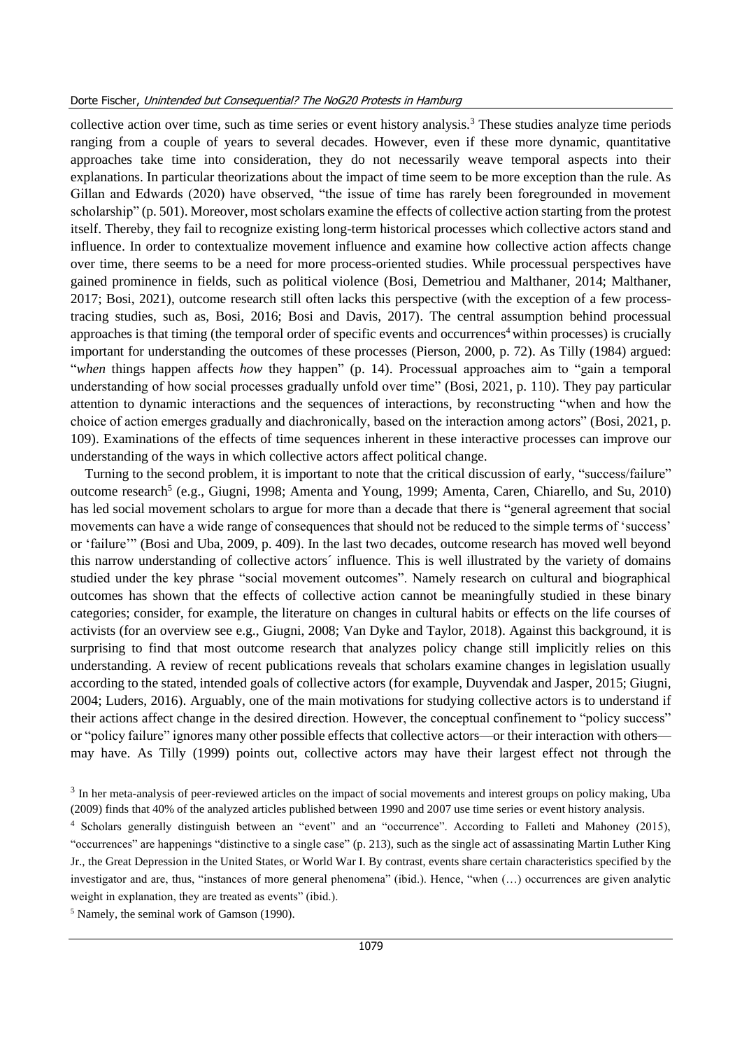collective action over time, such as time series or event history analysis.<sup>3</sup> These studies analyze time periods ranging from a couple of years to several decades. However, even if these more dynamic, quantitative approaches take time into consideration, they do not necessarily weave temporal aspects into their explanations. In particular theorizations about the impact of time seem to be more exception than the rule. As Gillan and Edwards (2020) have observed, "the issue of time has rarely been foregrounded in movement scholarship" (p. 501). Moreover, most scholars examine the effects of collective action starting from the protest itself. Thereby, they fail to recognize existing long-term historical processes which collective actors stand and influence. In order to contextualize movement influence and examine how collective action affects change over time, there seems to be a need for more process-oriented studies. While processual perspectives have gained prominence in fields, such as political violence (Bosi, Demetriou and Malthaner, 2014; Malthaner, 2017; Bosi, 2021), outcome research still often lacks this perspective (with the exception of a few processtracing studies, such as, Bosi, 2016; Bosi and Davis, 2017). The central assumption behind processual approaches is that timing (the temporal order of specific events and occurrences<sup>4</sup> within processes) is crucially important for understanding the outcomes of these processes (Pierson, 2000, p. 72). As Tilly (1984) argued: "*when* things happen affects *how* they happen" (p. 14). Processual approaches aim to "gain a temporal understanding of how social processes gradually unfold over time" (Bosi, 2021, p. 110). They pay particular attention to dynamic interactions and the sequences of interactions, by reconstructing "when and how the choice of action emerges gradually and diachronically, based on the interaction among actors" (Bosi, 2021, p. 109). Examinations of the effects of time sequences inherent in these interactive processes can improve our understanding of the ways in which collective actors affect political change.

Turning to the second problem, it is important to note that the critical discussion of early, "success/failure" outcome research<sup>5</sup> (e.g., Giugni, 1998; Amenta and Young, 1999; Amenta, Caren, Chiarello, and Su, 2010) has led social movement scholars to argue for more than a decade that there is "general agreement that social movements can have a wide range of consequences that should not be reduced to the simple terms of 'success' or 'failure'" (Bosi and Uba, 2009, p. 409). In the last two decades, outcome research has moved well beyond this narrow understanding of collective actors´ influence. This is well illustrated by the variety of domains studied under the key phrase "social movement outcomes". Namely research on cultural and biographical outcomes has shown that the effects of collective action cannot be meaningfully studied in these binary categories; consider, for example, the literature on changes in cultural habits or effects on the life courses of activists (for an overview see e.g., Giugni, 2008; Van Dyke and Taylor, 2018). Against this background, it is surprising to find that most outcome research that analyzes policy change still implicitly relies on this understanding. A review of recent publications reveals that scholars examine changes in legislation usually according to the stated, intended goals of collective actors (for example, Duyvendak and Jasper, 2015; Giugni, 2004; Luders, 2016). Arguably, one of the main motivations for studying collective actors is to understand if their actions affect change in the desired direction. However, the conceptual confinement to "policy success" or "policy failure" ignores many other possible effects that collective actors—or their interaction with others may have. As Tilly (1999) points out, collective actors may have their largest effect not through the

 $3$  In her meta-analysis of peer-reviewed articles on the impact of social movements and interest groups on policy making, Uba (2009) finds that 40% of the analyzed articles published between 1990 and 2007 use time series or event history analysis.

<sup>4</sup> Scholars generally distinguish between an "event" and an "occurrence". According to Falleti and Mahoney (2015), "occurrences" are happenings "distinctive to a single case" (p. 213), such as the single act of assassinating Martin Luther King Jr., the Great Depression in the United States, or World War I. By contrast, events share certain characteristics specified by the investigator and are, thus, "instances of more general phenomena" (ibid.). Hence, "when (…) occurrences are given analytic weight in explanation, they are treated as events" (ibid.).

<sup>5</sup> Namely, the seminal work of Gamson (1990).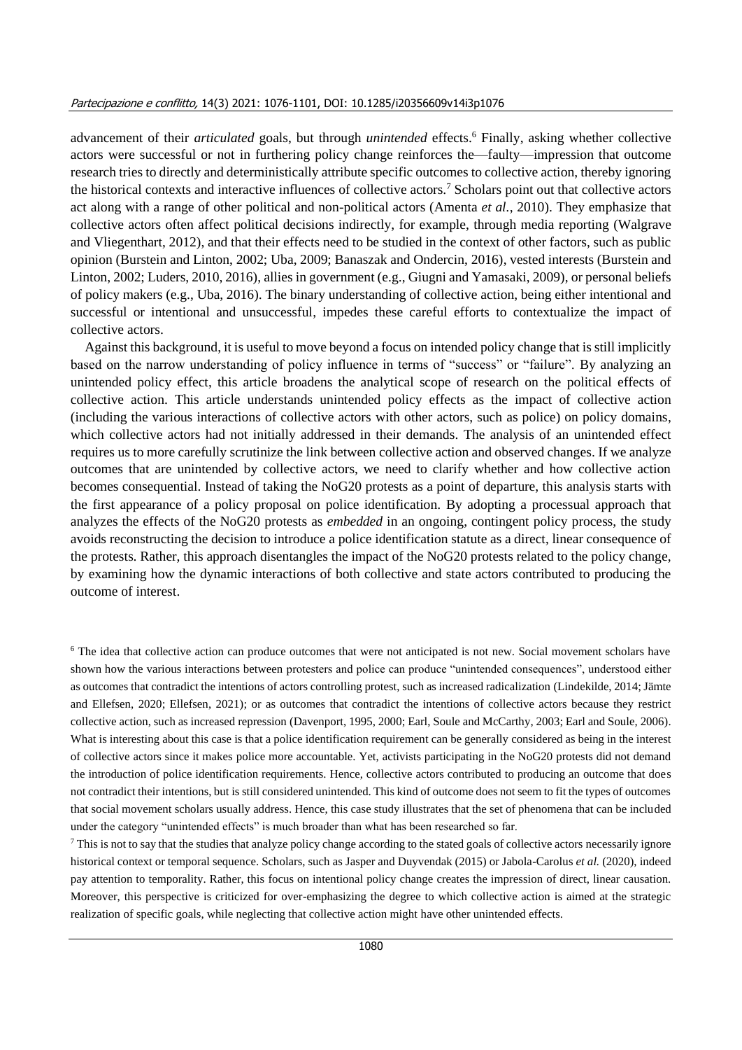advancement of their *articulated* goals, but through *unintended* effects.<sup>6</sup> Finally, asking whether collective actors were successful or not in furthering policy change reinforces the—faulty—impression that outcome research tries to directly and deterministically attribute specific outcomes to collective action, thereby ignoring the historical contexts and interactive influences of collective actors.<sup>7</sup> Scholars point out that collective actors act along with a range of other political and non-political actors (Amenta *et al.*, 2010). They emphasize that collective actors often affect political decisions indirectly, for example, through media reporting (Walgrave and Vliegenthart, 2012), and that their effects need to be studied in the context of other factors, such as public opinion (Burstein and Linton, 2002; Uba, 2009; Banaszak and Ondercin, 2016), vested interests (Burstein and Linton, 2002; Luders, 2010, 2016), allies in government (e.g., Giugni and Yamasaki, 2009), or personal beliefs of policy makers (e.g., Uba, 2016). The binary understanding of collective action, being either intentional and successful or intentional and unsuccessful, impedes these careful efforts to contextualize the impact of collective actors.

Against this background, it is useful to move beyond a focus on intended policy change that is still implicitly based on the narrow understanding of policy influence in terms of "success" or "failure". By analyzing an unintended policy effect, this article broadens the analytical scope of research on the political effects of collective action. This article understands unintended policy effects as the impact of collective action (including the various interactions of collective actors with other actors, such as police) on policy domains, which collective actors had not initially addressed in their demands. The analysis of an unintended effect requires us to more carefully scrutinize the link between collective action and observed changes. If we analyze outcomes that are unintended by collective actors, we need to clarify whether and how collective action becomes consequential. Instead of taking the NoG20 protests as a point of departure, this analysis starts with the first appearance of a policy proposal on police identification. By adopting a processual approach that analyzes the effects of the NoG20 protests as *embedded* in an ongoing, contingent policy process, the study avoids reconstructing the decision to introduce a police identification statute as a direct, linear consequence of the protests. Rather, this approach disentangles the impact of the NoG20 protests related to the policy change, by examining how the dynamic interactions of both collective and state actors contributed to producing the outcome of interest.

<sup>6</sup> The idea that collective action can produce outcomes that were not anticipated is not new. Social movement scholars have shown how the various interactions between protesters and police can produce "unintended consequences", understood either as outcomes that contradict the intentions of actors controlling protest, such as increased radicalization (Lindekilde, 2014; Jämte and Ellefsen, 2020; Ellefsen, 2021); or as outcomes that contradict the intentions of collective actors because they restrict collective action, such as increased repression (Davenport, 1995, 2000; Earl, Soule and McCarthy, 2003; Earl and Soule, 2006). What is interesting about this case is that a police identification requirement can be generally considered as being in the interest of collective actors since it makes police more accountable. Yet, activists participating in the NoG20 protests did not demand the introduction of police identification requirements. Hence, collective actors contributed to producing an outcome that does not contradict their intentions, but is still considered unintended. This kind of outcome does not seem to fit the types of outcomes that social movement scholars usually address. Hence, this case study illustrates that the set of phenomena that can be included under the category "unintended effects" is much broader than what has been researched so far.

 $\frac{7}{1}$  This is not to say that the studies that analyze policy change according to the stated goals of collective actors necessarily ignore historical context or temporal sequence. Scholars, such as Jasper and Duyvendak (2015) or Jabola-Carolus *et al.* (2020), indeed pay attention to temporality. Rather, this focus on intentional policy change creates the impression of direct, linear causation. Moreover, this perspective is criticized for over-emphasizing the degree to which collective action is aimed at the strategic realization of specific goals, while neglecting that collective action might have other unintended effects.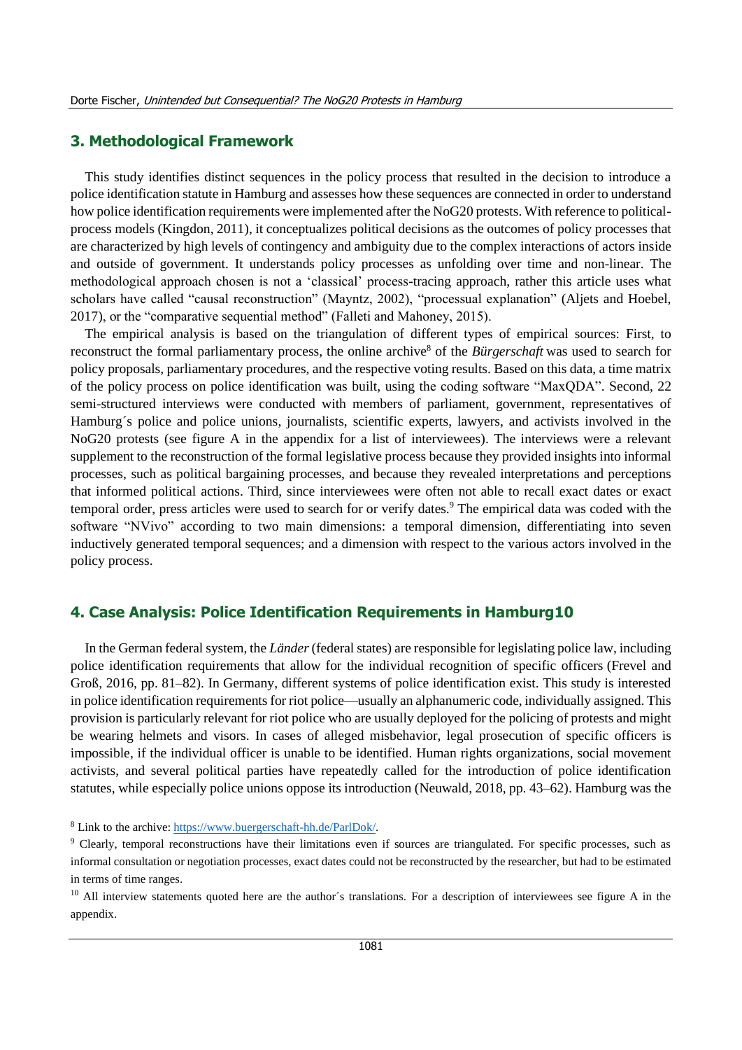#### **3. Methodological Framework**

This study identifies distinct sequences in the policy process that resulted in the decision to introduce a police identification statute in Hamburg and assesses how these sequences are connected in order to understand how police identification requirements were implemented after the NoG20 protests. With reference to politicalprocess models (Kingdon, 2011), it conceptualizes political decisions as the outcomes of policy processes that are characterized by high levels of contingency and ambiguity due to the complex interactions of actors inside and outside of government. It understands policy processes as unfolding over time and non-linear. The methodological approach chosen is not a 'classical' process-tracing approach, rather this article uses what scholars have called "causal reconstruction" (Mayntz, 2002), "processual explanation" (Aljets and Hoebel, 2017), or the "comparative sequential method" (Falleti and Mahoney, 2015).

The empirical analysis is based on the triangulation of different types of empirical sources: First, to reconstruct the formal parliamentary process, the online archive<sup>8</sup> of the *Bürgerschaft* was used to search for policy proposals, parliamentary procedures, and the respective voting results. Based on this data, a time matrix of the policy process on police identification was built, using the coding software "MaxQDA". Second, 22 semi-structured interviews were conducted with members of parliament, government, representatives of Hamburg´s police and police unions, journalists, scientific experts, lawyers, and activists involved in the NoG20 protests (see figure A in the appendix for a list of interviewees). The interviews were a relevant supplement to the reconstruction of the formal legislative process because they provided insights into informal processes, such as political bargaining processes, and because they revealed interpretations and perceptions that informed political actions. Third, since interviewees were often not able to recall exact dates or exact temporal order, press articles were used to search for or verify dates.<sup>9</sup> The empirical data was coded with the software "NVivo" according to two main dimensions: a temporal dimension, differentiating into seven inductively generated temporal sequences; and a dimension with respect to the various actors involved in the policy process.

#### **4. Case Analysis: Police Identification Requirements in Hamburg10**

In the German federal system, the *Länder*(federal states) are responsible for legislating police law, including police identification requirements that allow for the individual recognition of specific officers (Frevel and Groß, 2016, pp. 81–82). In Germany, different systems of police identification exist. This study is interested in police identification requirements for riot police—usually an alphanumeric code, individually assigned. This provision is particularly relevant for riot police who are usually deployed for the policing of protests and might be wearing helmets and visors. In cases of alleged misbehavior, legal prosecution of specific officers is impossible, if the individual officer is unable to be identified. Human rights organizations, social movement activists, and several political parties have repeatedly called for the introduction of police identification statutes, while especially police unions oppose its introduction (Neuwald, 2018, pp. 43–62). Hamburg was the

<sup>8</sup> Link to the archive[: https://www.buergerschaft-hh.de/ParlDok/.](https://www.buergerschaft-hh.de/ParlDok/)

<sup>9</sup> Clearly, temporal reconstructions have their limitations even if sources are triangulated. For specific processes, such as informal consultation or negotiation processes, exact dates could not be reconstructed by the researcher, but had to be estimated in terms of time ranges.

 $10$  All interview statements quoted here are the author's translations. For a description of interviewees see figure A in the appendix.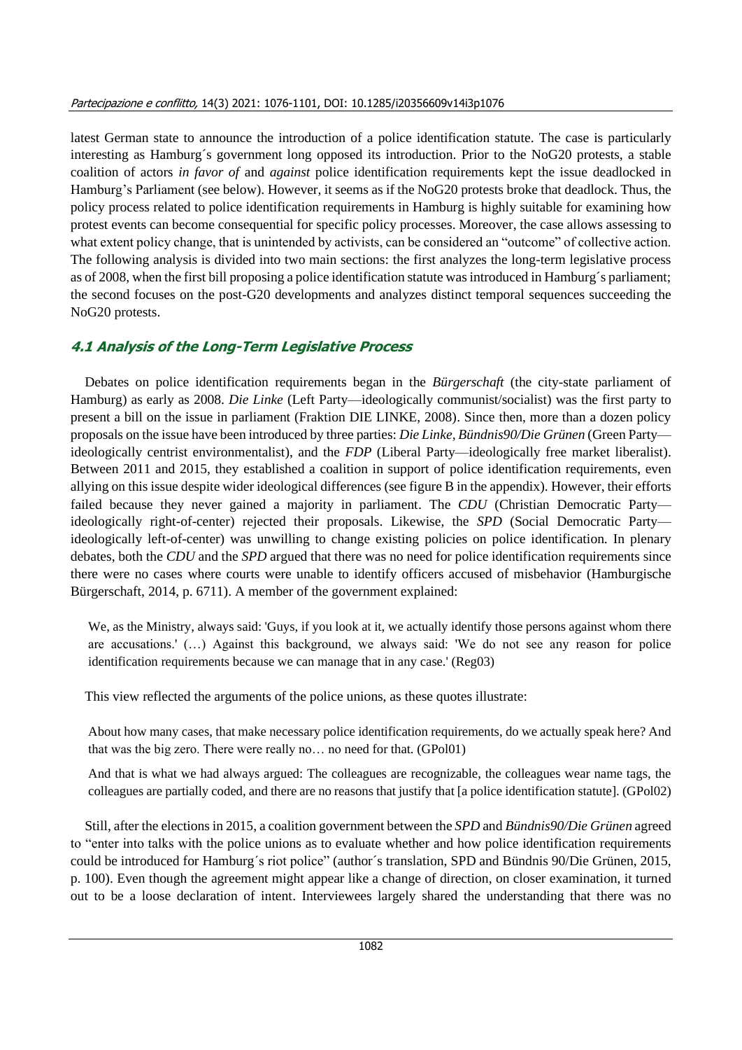latest German state to announce the introduction of a police identification statute. The case is particularly interesting as Hamburg´s government long opposed its introduction. Prior to the NoG20 protests, a stable coalition of actors *in favor of* and *against* police identification requirements kept the issue deadlocked in Hamburg's Parliament (see below). However, it seems as if the NoG20 protests broke that deadlock. Thus, the policy process related to police identification requirements in Hamburg is highly suitable for examining how protest events can become consequential for specific policy processes. Moreover, the case allows assessing to what extent policy change, that is unintended by activists, can be considered an "outcome" of collective action. The following analysis is divided into two main sections: the first analyzes the long-term legislative process as of 2008, when the first bill proposing a police identification statute was introduced in Hamburg´s parliament; the second focuses on the post-G20 developments and analyzes distinct temporal sequences succeeding the NoG20 protests.

# **4.1 Analysis of the Long-Term Legislative Process**

Debates on police identification requirements began in the *Bürgerschaft* (the city-state parliament of Hamburg) as early as 2008. *Die Linke* (Left Party—ideologically communist/socialist) was the first party to present a bill on the issue in parliament (Fraktion DIE LINKE, 2008). Since then, more than a dozen policy proposals on the issue have been introduced by three parties: *Die Linke, Bündnis90/Die Grünen* (Green Party ideologically centrist environmentalist), and the *FDP* (Liberal Party—ideologically free market liberalist). Between 2011 and 2015, they established a coalition in support of police identification requirements, even allying on this issue despite wider ideological differences (see figure B in the appendix). However, their efforts failed because they never gained a majority in parliament. The CDU (Christian Democratic Partyideologically right-of-center) rejected their proposals. Likewise, the *SPD* (Social Democratic Party ideologically left-of-center) was unwilling to change existing policies on police identification. In plenary debates, both the *CDU* and the *SPD* argued that there was no need for police identification requirements since there were no cases where courts were unable to identify officers accused of misbehavior (Hamburgische Bürgerschaft, 2014, p. 6711). A member of the government explained:

We, as the Ministry, always said: 'Guys, if you look at it, we actually identify those persons against whom there are accusations.' (…) Against this background, we always said: 'We do not see any reason for police identification requirements because we can manage that in any case.' (Reg03)

This view reflected the arguments of the police unions, as these quotes illustrate:

About how many cases, that make necessary police identification requirements, do we actually speak here? And that was the big zero. There were really no… no need for that. (GPol01)

And that is what we had always argued: The colleagues are recognizable, the colleagues wear name tags, the colleagues are partially coded, and there are no reasons that justify that [a police identification statute]. (GPol02)

Still, after the elections in 2015, a coalition government between the *SPD* and *Bündnis90/Die Grünen* agreed to "enter into talks with the police unions as to evaluate whether and how police identification requirements could be introduced for Hamburg´s riot police" (author´s translation, SPD and Bündnis 90/Die Grünen, 2015, p. 100). Even though the agreement might appear like a change of direction, on closer examination, it turned out to be a loose declaration of intent. Interviewees largely shared the understanding that there was no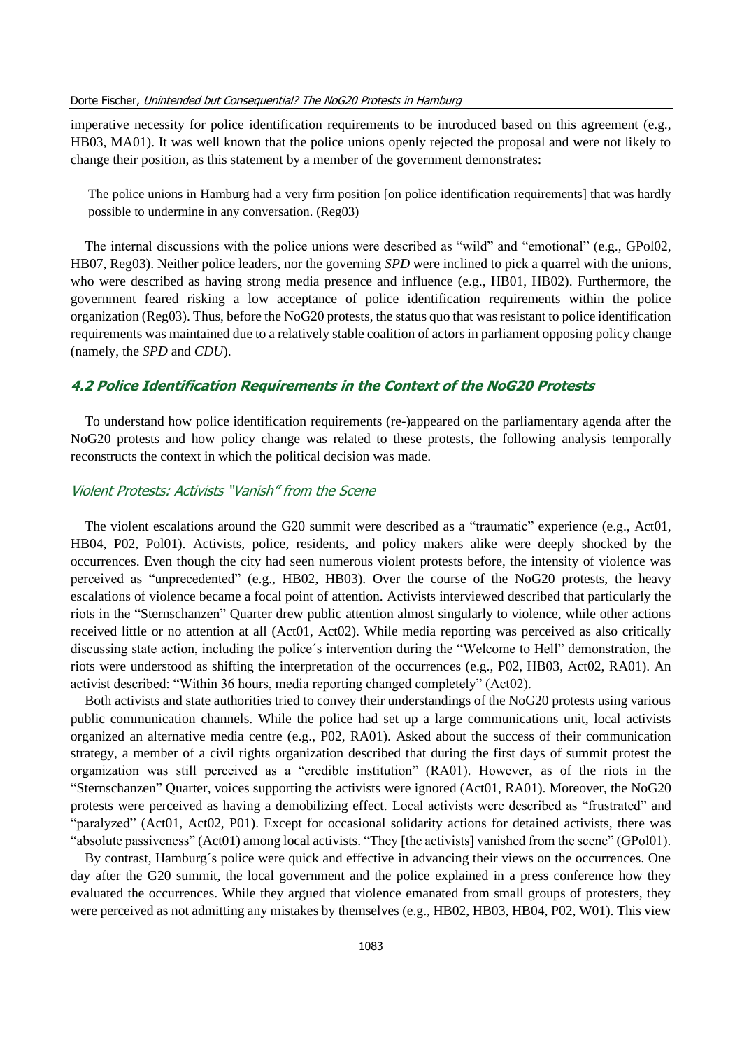imperative necessity for police identification requirements to be introduced based on this agreement (e.g., HB03, MA01). It was well known that the police unions openly rejected the proposal and were not likely to change their position, as this statement by a member of the government demonstrates:

The police unions in Hamburg had a very firm position [on police identification requirements] that was hardly possible to undermine in any conversation. (Reg03)

The internal discussions with the police unions were described as "wild" and "emotional" (e.g., GPol02, HB07, Reg03). Neither police leaders, nor the governing *SPD* were inclined to pick a quarrel with the unions, who were described as having strong media presence and influence (e.g., HB01, HB02). Furthermore, the government feared risking a low acceptance of police identification requirements within the police organization (Reg03). Thus, before the NoG20 protests, the status quo that was resistant to police identification requirements was maintained due to a relatively stable coalition of actors in parliament opposing policy change (namely, the *SPD* and *CDU*).

## **4.2 Police Identification Requirements in the Context of the NoG20 Protests**

To understand how police identification requirements (re-)appeared on the parliamentary agenda after the NoG20 protests and how policy change was related to these protests, the following analysis temporally reconstructs the context in which the political decision was made.

#### Violent Protests: Activists "Vanish" from the Scene

The violent escalations around the G20 summit were described as a "traumatic" experience (e.g., Act01, HB04, P02, Pol01). Activists, police, residents, and policy makers alike were deeply shocked by the occurrences. Even though the city had seen numerous violent protests before, the intensity of violence was perceived as "unprecedented" (e.g., HB02, HB03). Over the course of the NoG20 protests, the heavy escalations of violence became a focal point of attention. Activists interviewed described that particularly the riots in the "Sternschanzen" Quarter drew public attention almost singularly to violence, while other actions received little or no attention at all (Act01, Act02). While media reporting was perceived as also critically discussing state action, including the police´s intervention during the "Welcome to Hell" demonstration, the riots were understood as shifting the interpretation of the occurrences (e.g., P02, HB03, Act02, RA01). An activist described: "Within 36 hours, media reporting changed completely" (Act02).

Both activists and state authorities tried to convey their understandings of the NoG20 protests using various public communication channels. While the police had set up a large communications unit, local activists organized an alternative media centre (e.g., P02, RA01). Asked about the success of their communication strategy, a member of a civil rights organization described that during the first days of summit protest the organization was still perceived as a "credible institution" (RA01). However, as of the riots in the "Sternschanzen" Quarter, voices supporting the activists were ignored (Act01, RA01). Moreover, the NoG20 protests were perceived as having a demobilizing effect. Local activists were described as "frustrated" and "paralyzed" (Act01, Act02, P01). Except for occasional solidarity actions for detained activists, there was "absolute passiveness" (Act01) among local activists. "They [the activists] vanished from the scene" (GPol01).

By contrast, Hamburg´s police were quick and effective in advancing their views on the occurrences. One day after the G20 summit, the local government and the police explained in a press conference how they evaluated the occurrences. While they argued that violence emanated from small groups of protesters, they were perceived as not admitting any mistakes by themselves (e.g., HB02, HB03, HB04, P02, W01). This view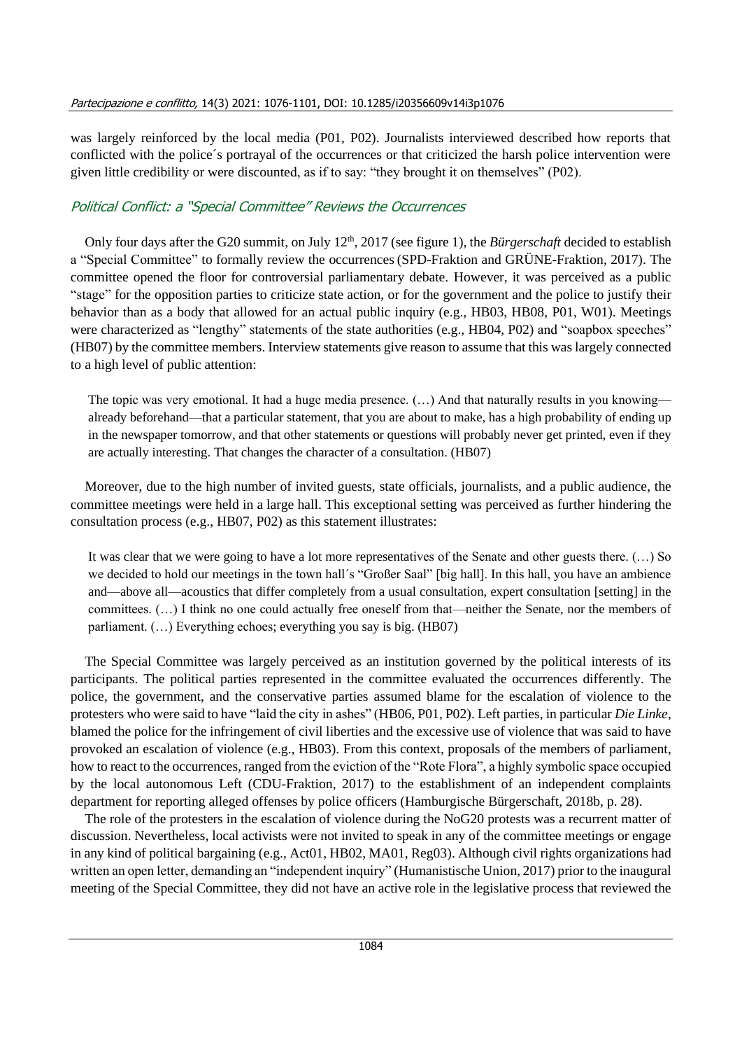was largely reinforced by the local media (P01, P02). Journalists interviewed described how reports that conflicted with the police´s portrayal of the occurrences or that criticized the harsh police intervention were given little credibility or were discounted, as if to say: "they brought it on themselves" (P02).

# Political Conflict: a "Special Committee" Reviews the Occurrences

Only four days after the G20 summit, on July 12<sup>th</sup>, 2017 (see figure 1), the *Bürgerschaft* decided to establish a "Special Committee" to formally review the occurrences(SPD-Fraktion and GRÜNE-Fraktion, 2017). The committee opened the floor for controversial parliamentary debate. However, it was perceived as a public "stage" for the opposition parties to criticize state action, or for the government and the police to justify their behavior than as a body that allowed for an actual public inquiry (e.g., HB03, HB08, P01, W01). Meetings were characterized as "lengthy" statements of the state authorities (e.g., HB04, P02) and "soapbox speeches" (HB07) by the committee members. Interview statements give reason to assume that this waslargely connected to a high level of public attention:

The topic was very emotional. It had a huge media presence. (...) And that naturally results in you knowing already beforehand—that a particular statement, that you are about to make, has a high probability of ending up in the newspaper tomorrow, and that other statements or questions will probably never get printed, even if they are actually interesting. That changes the character of a consultation. (HB07)

Moreover, due to the high number of invited guests, state officials, journalists, and a public audience, the committee meetings were held in a large hall. This exceptional setting was perceived as further hindering the consultation process (e.g., HB07, P02) as this statement illustrates:

It was clear that we were going to have a lot more representatives of the Senate and other guests there. (…) So we decided to hold our meetings in the town hall´s "Großer Saal" [big hall]. In this hall, you have an ambience and—above all—acoustics that differ completely from a usual consultation, expert consultation [setting] in the committees. (…) I think no one could actually free oneself from that—neither the Senate, nor the members of parliament. (…) Everything echoes; everything you say is big. (HB07)

The Special Committee was largely perceived as an institution governed by the political interests of its participants. The political parties represented in the committee evaluated the occurrences differently. The police, the government, and the conservative parties assumed blame for the escalation of violence to the protesters who were said to have "laid the city in ashes" (HB06, P01, P02). Left parties, in particular *Die Linke*, blamed the police for the infringement of civil liberties and the excessive use of violence that was said to have provoked an escalation of violence (e.g., HB03). From this context, proposals of the members of parliament, how to react to the occurrences, ranged from the eviction of the "Rote Flora", a highly symbolic space occupied by the local autonomous Left (CDU-Fraktion, 2017) to the establishment of an independent complaints department for reporting alleged offenses by police officers (Hamburgische Bürgerschaft, 2018b, p. 28).

The role of the protesters in the escalation of violence during the NoG20 protests was a recurrent matter of discussion. Nevertheless, local activists were not invited to speak in any of the committee meetings or engage in any kind of political bargaining (e.g., Act01, HB02, MA01, Reg03). Although civil rights organizations had written an open letter, demanding an "independent inquiry" (Humanistische Union, 2017) prior to the inaugural meeting of the Special Committee, they did not have an active role in the legislative process that reviewed the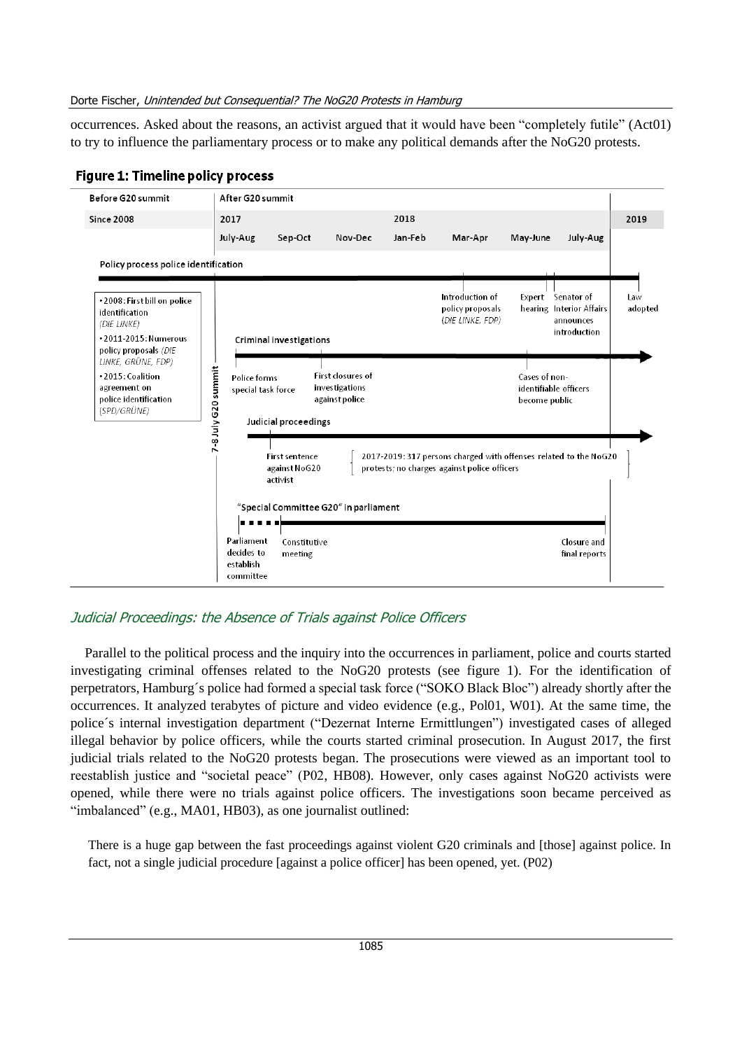occurrences. Asked about the reasons, an activist argued that it would have been "completely futile" (Act01) to try to influence the parliamentary process or to make any political demands after the NoG20 protests.



## **Figure 1: Timeline policy process**

# Judicial Proceedings: the Absence of Trials against Police Officers

Parallel to the political process and the inquiry into the occurrences in parliament, police and courts started investigating criminal offenses related to the NoG20 protests (see figure 1). For the identification of perpetrators, Hamburg´s police had formed a special task force ("SOKO Black Bloc") already shortly after the occurrences. It analyzed terabytes of picture and video evidence (e.g., Pol01, W01). At the same time, the police´s internal investigation department ("Dezernat Interne Ermittlungen") investigated cases of alleged illegal behavior by police officers, while the courts started criminal prosecution. In August 2017, the first judicial trials related to the NoG20 protests began. The prosecutions were viewed as an important tool to reestablish justice and "societal peace" (P02, HB08). However, only cases against NoG20 activists were opened, while there were no trials against police officers. The investigations soon became perceived as "imbalanced" (e.g., MA01, HB03), as one journalist outlined:

There is a huge gap between the fast proceedings against violent G20 criminals and [those] against police. In fact, not a single judicial procedure [against a police officer] has been opened, yet. (P02)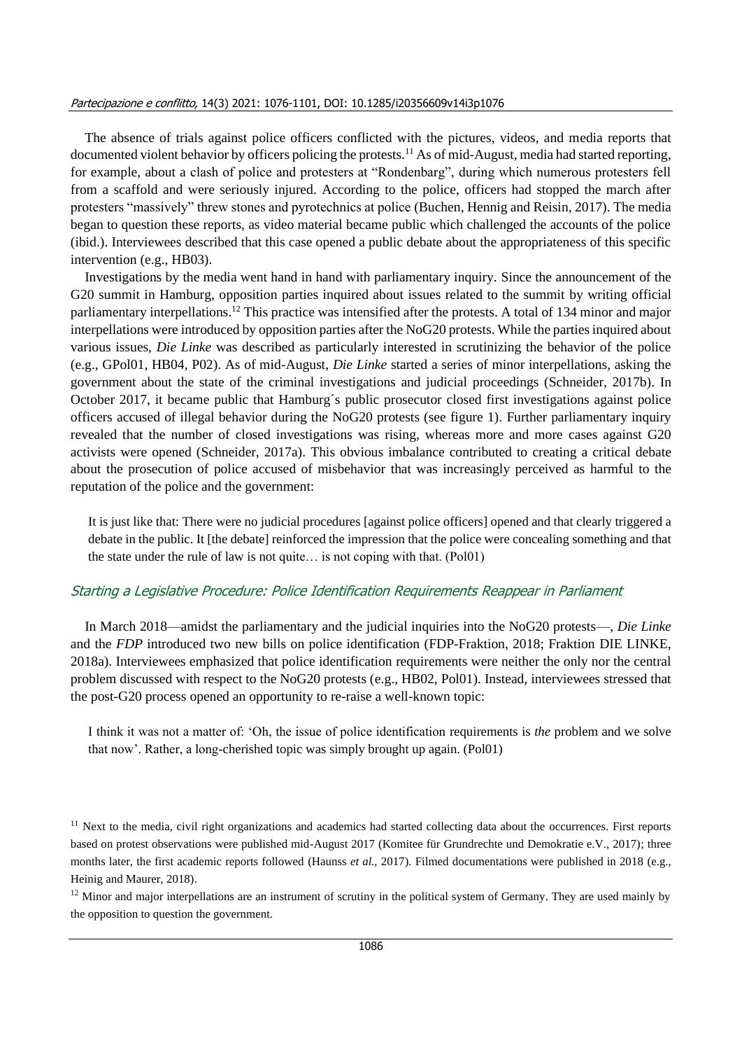#### Partecipazione e conflitto, 14(3) 2021: 1076-1101, DOI: 10.1285/i20356609v14i3p1076

The absence of trials against police officers conflicted with the pictures, videos, and media reports that documented violent behavior by officers policing the protests.<sup>11</sup> As of mid-August, media had started reporting, for example, about a clash of police and protesters at "Rondenbarg", during which numerous protesters fell from a scaffold and were seriously injured. According to the police, officers had stopped the march after protesters "massively" threw stones and pyrotechnics at police (Buchen, Hennig and Reisin, 2017). The media began to question these reports, as video material became public which challenged the accounts of the police (ibid.). Interviewees described that this case opened a public debate about the appropriateness of this specific intervention (e.g., HB03).

Investigations by the media went hand in hand with parliamentary inquiry. Since the announcement of the G20 summit in Hamburg, opposition parties inquired about issues related to the summit by writing official parliamentary interpellations.<sup>12</sup> This practice was intensified after the protests. A total of 134 minor and major interpellations were introduced by opposition parties after the NoG20 protests. While the parties inquired about various issues, *Die Linke* was described as particularly interested in scrutinizing the behavior of the police (e.g., GPol01, HB04, P02). As of mid-August, *Die Linke* started a series of minor interpellations, asking the government about the state of the criminal investigations and judicial proceedings (Schneider, 2017b). In October 2017, it became public that Hamburg´s public prosecutor closed first investigations against police officers accused of illegal behavior during the NoG20 protests (see figure 1). Further parliamentary inquiry revealed that the number of closed investigations was rising, whereas more and more cases against G20 activists were opened (Schneider, 2017a). This obvious imbalance contributed to creating a critical debate about the prosecution of police accused of misbehavior that was increasingly perceived as harmful to the reputation of the police and the government:

It is just like that: There were no judicial procedures [against police officers] opened and that clearly triggered a debate in the public. It [the debate] reinforced the impression that the police were concealing something and that the state under the rule of law is not quite… is not coping with that. (Pol01)

#### Starting a Legislative Procedure: Police Identification Requirements Reappear in Parliament

In March 2018—amidst the parliamentary and the judicial inquiries into the NoG20 protests—, *Die Linke* and the *FDP* introduced two new bills on police identification (FDP-Fraktion, 2018; Fraktion DIE LINKE, 2018a). Interviewees emphasized that police identification requirements were neither the only nor the central problem discussed with respect to the NoG20 protests (e.g., HB02, Pol01). Instead, interviewees stressed that the post-G20 process opened an opportunity to re-raise a well-known topic:

I think it was not a matter of: 'Oh, the issue of police identification requirements is *the* problem and we solve that now'. Rather, a long-cherished topic was simply brought up again. (Pol01)

 $11$  Next to the media, civil right organizations and academics had started collecting data about the occurrences. First reports based on protest observations were published mid-August 2017 (Komitee für Grundrechte und Demokratie e.V., 2017); three months later, the first academic reports followed (Haunss *et al.*, 2017). Filmed documentations were published in 2018 (e.g., Heinig and Maurer, 2018).

 $12$  Minor and major interpellations are an instrument of scrutiny in the political system of Germany. They are used mainly by the opposition to question the government.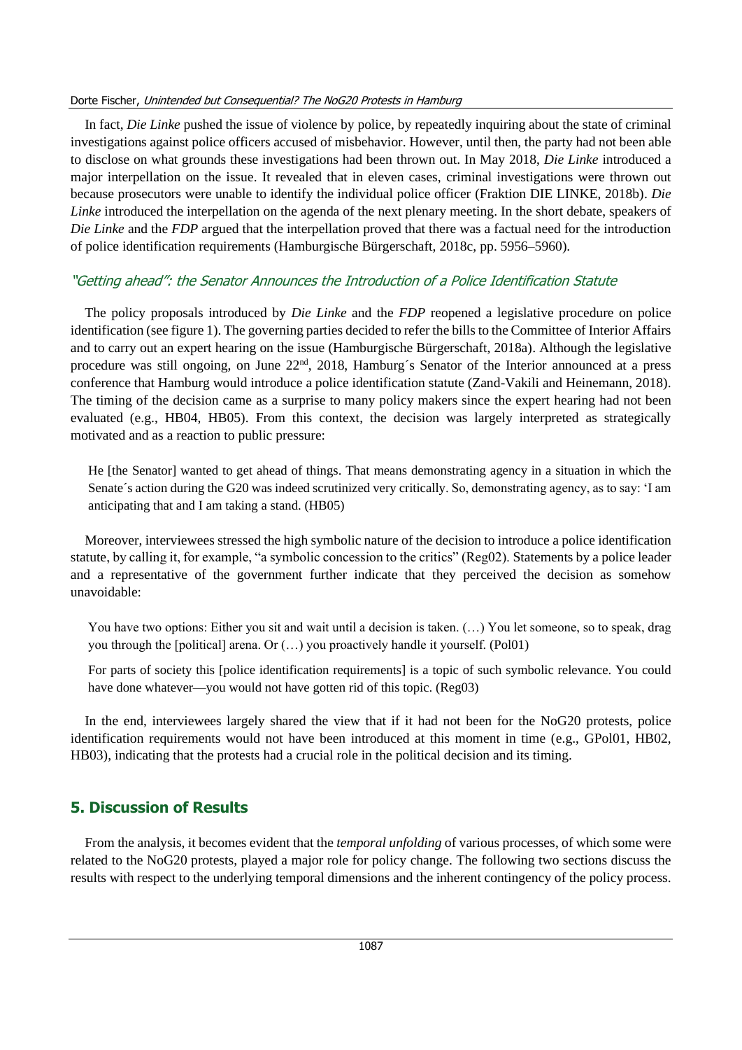In fact, *Die Linke* pushed the issue of violence by police, by repeatedly inquiring about the state of criminal investigations against police officers accused of misbehavior. However, until then, the party had not been able to disclose on what grounds these investigations had been thrown out. In May 2018, *Die Linke* introduced a major interpellation on the issue. It revealed that in eleven cases, criminal investigations were thrown out because prosecutors were unable to identify the individual police officer (Fraktion DIE LINKE, 2018b). *Die Linke* introduced the interpellation on the agenda of the next plenary meeting. In the short debate, speakers of *Die Linke* and the *FDP* argued that the interpellation proved that there was a factual need for the introduction of police identification requirements (Hamburgische Bürgerschaft, 2018c, pp. 5956–5960).

# "Getting ahead": the Senator Announces the Introduction of a Police Identification Statute

The policy proposals introduced by *Die Linke* and the *FDP* reopened a legislative procedure on police identification (see figure 1). The governing parties decided to refer the bills to the Committee of Interior Affairs and to carry out an expert hearing on the issue (Hamburgische Bürgerschaft, 2018a). Although the legislative procedure was still ongoing, on June 22<sup>nd</sup>, 2018, Hamburg's Senator of the Interior announced at a press conference that Hamburg would introduce a police identification statute (Zand-Vakili and Heinemann, 2018). The timing of the decision came as a surprise to many policy makers since the expert hearing had not been evaluated (e.g., HB04, HB05). From this context, the decision was largely interpreted as strategically motivated and as a reaction to public pressure:

He [the Senator] wanted to get ahead of things. That means demonstrating agency in a situation in which the Senate´s action during the G20 was indeed scrutinized very critically. So, demonstrating agency, as to say: 'I am anticipating that and I am taking a stand. (HB05)

Moreover, interviewees stressed the high symbolic nature of the decision to introduce a police identification statute, by calling it, for example, "a symbolic concession to the critics" (Reg02). Statements by a police leader and a representative of the government further indicate that they perceived the decision as somehow unavoidable:

You have two options: Either you sit and wait until a decision is taken. (...) You let someone, so to speak, drag you through the [political] arena. Or (…) you proactively handle it yourself. (Pol01)

For parts of society this [police identification requirements] is a topic of such symbolic relevance. You could have done whatever—you would not have gotten rid of this topic. (Reg03)

In the end, interviewees largely shared the view that if it had not been for the NoG20 protests, police identification requirements would not have been introduced at this moment in time (e.g., GPol01, HB02, HB03), indicating that the protests had a crucial role in the political decision and its timing.

# **5. Discussion of Results**

From the analysis, it becomes evident that the *temporal unfolding* of various processes, of which some were related to the NoG20 protests, played a major role for policy change. The following two sections discuss the results with respect to the underlying temporal dimensions and the inherent contingency of the policy process.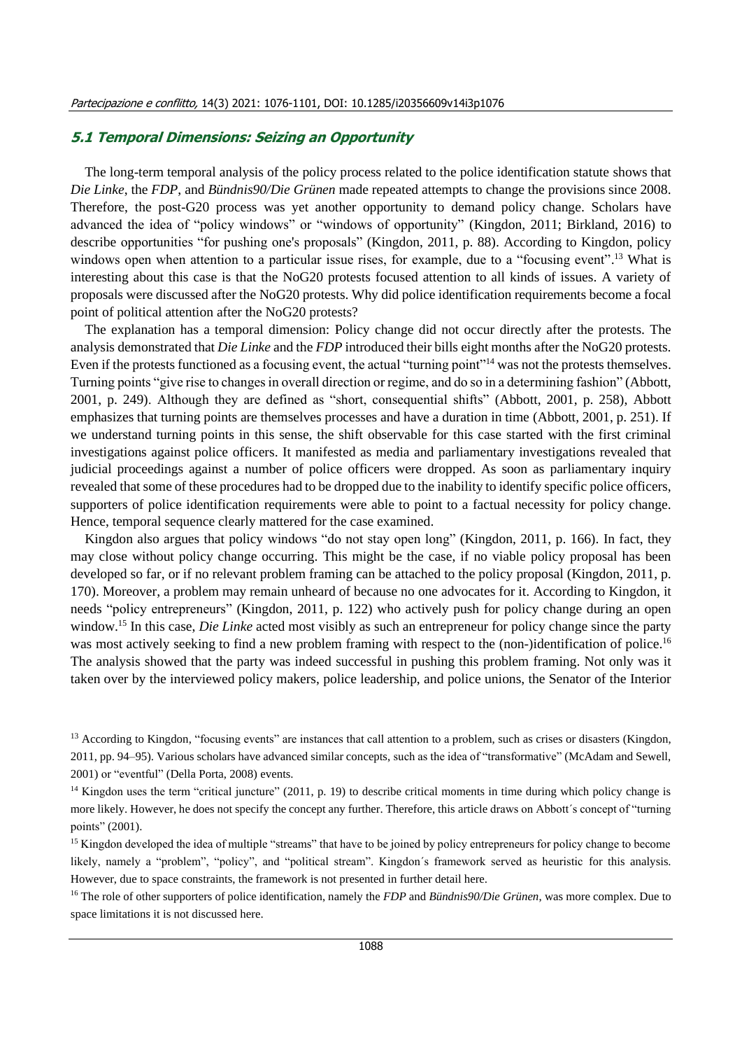## **5.1 Temporal Dimensions: Seizing an Opportunity**

The long-term temporal analysis of the policy process related to the police identification statute shows that *Die Linke*, the *FDP*, and *Bündnis90/Die Grünen* made repeated attempts to change the provisions since 2008. Therefore, the post-G20 process was yet another opportunity to demand policy change. Scholars have advanced the idea of "policy windows" or "windows of opportunity" (Kingdon, 2011; Birkland, 2016) to describe opportunities "for pushing one's proposals" (Kingdon, 2011, p. 88). According to Kingdon, policy windows open when attention to a particular issue rises, for example, due to a "focusing event".<sup>13</sup> What is interesting about this case is that the NoG20 protests focused attention to all kinds of issues. A variety of proposals were discussed after the NoG20 protests. Why did police identification requirements become a focal point of political attention after the NoG20 protests?

The explanation has a temporal dimension: Policy change did not occur directly after the protests. The analysis demonstrated that *Die Linke* and the *FDP* introduced their bills eight months after the NoG20 protests. Even if the protests functioned as a focusing event, the actual "turning point"<sup>14</sup> was not the protests themselves. Turning points "give rise to changes in overall direction or regime, and do so in a determining fashion" (Abbott, 2001, p. 249). Although they are defined as "short, consequential shifts" (Abbott, 2001, p. 258), Abbott emphasizes that turning points are themselves processes and have a duration in time (Abbott, 2001, p. 251). If we understand turning points in this sense, the shift observable for this case started with the first criminal investigations against police officers. It manifested as media and parliamentary investigations revealed that judicial proceedings against a number of police officers were dropped. As soon as parliamentary inquiry revealed that some of these procedures had to be dropped due to the inability to identify specific police officers, supporters of police identification requirements were able to point to a factual necessity for policy change. Hence, temporal sequence clearly mattered for the case examined.

Kingdon also argues that policy windows "do not stay open long" (Kingdon, 2011, p. 166). In fact, they may close without policy change occurring. This might be the case, if no viable policy proposal has been developed so far, or if no relevant problem framing can be attached to the policy proposal (Kingdon, 2011, p. 170). Moreover, a problem may remain unheard of because no one advocates for it. According to Kingdon, it needs "policy entrepreneurs" (Kingdon, 2011, p. 122) who actively push for policy change during an open window. <sup>15</sup> In this case, *Die Linke* acted most visibly as such an entrepreneur for policy change since the party was most actively seeking to find a new problem framing with respect to the (non-)identification of police.<sup>16</sup> The analysis showed that the party was indeed successful in pushing this problem framing. Not only was it taken over by the interviewed policy makers, police leadership, and police unions, the Senator of the Interior

<sup>16</sup> The role of other supporters of police identification, namely the *FDP* and *Bündnis90/Die Grünen*, was more complex. Due to space limitations it is not discussed here.

<sup>&</sup>lt;sup>13</sup> According to Kingdon, "focusing events" are instances that call attention to a problem, such as crises or disasters (Kingdon, 2011, pp. 94–95). Various scholars have advanced similar concepts, such as the idea of "transformative" (McAdam and Sewell, 2001) or "eventful" (Della Porta, 2008) events.

<sup>&</sup>lt;sup>14</sup> Kingdon uses the term "critical juncture" (2011, p. 19) to describe critical moments in time during which policy change is more likely. However, he does not specify the concept any further. Therefore, this article draws on Abbott´s concept of "turning points" (2001).

<sup>&</sup>lt;sup>15</sup> Kingdon developed the idea of multiple "streams" that have to be joined by policy entrepreneurs for policy change to become likely, namely a "problem", "policy", and "political stream". Kingdon´s framework served as heuristic for this analysis. However, due to space constraints, the framework is not presented in further detail here.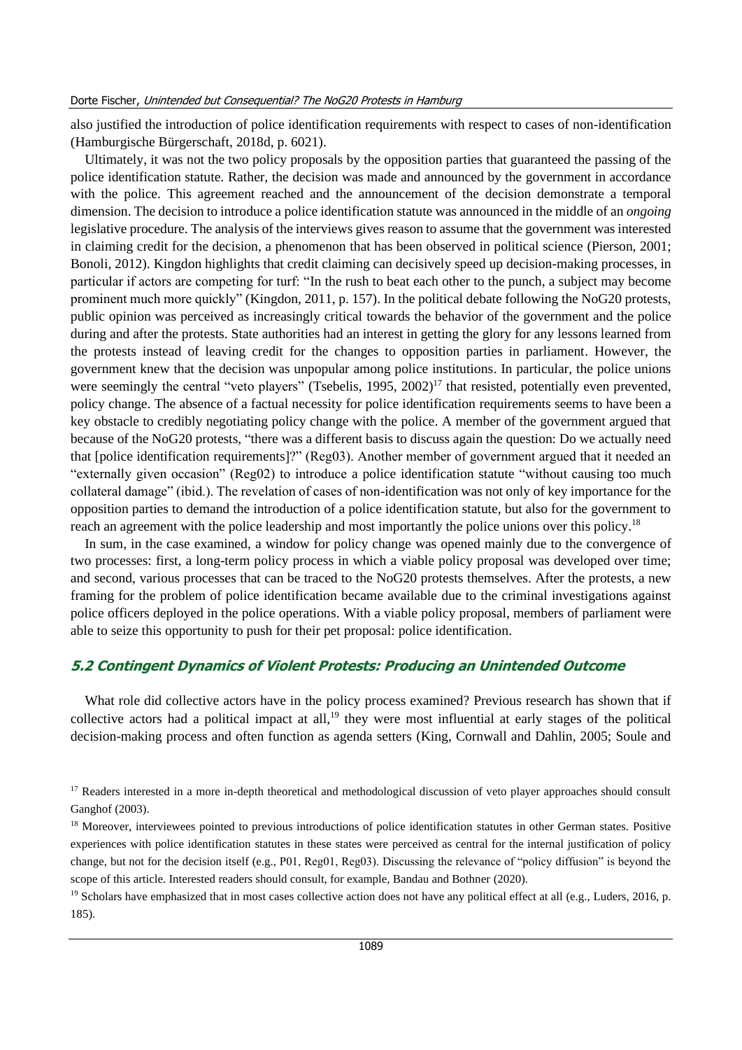also justified the introduction of police identification requirements with respect to cases of non-identification (Hamburgische Bürgerschaft, 2018d, p. 6021).

Ultimately, it was not the two policy proposals by the opposition parties that guaranteed the passing of the police identification statute. Rather, the decision was made and announced by the government in accordance with the police. This agreement reached and the announcement of the decision demonstrate a temporal dimension. The decision to introduce a police identification statute was announced in the middle of an *ongoing* legislative procedure. The analysis of the interviews gives reason to assume that the government was interested in claiming credit for the decision, a phenomenon that has been observed in political science (Pierson, 2001; Bonoli, 2012). Kingdon highlights that credit claiming can decisively speed up decision-making processes, in particular if actors are competing for turf: "In the rush to beat each other to the punch, a subject may become prominent much more quickly" (Kingdon, 2011, p. 157). In the political debate following the NoG20 protests, public opinion was perceived as increasingly critical towards the behavior of the government and the police during and after the protests. State authorities had an interest in getting the glory for any lessons learned from the protests instead of leaving credit for the changes to opposition parties in parliament. However, the government knew that the decision was unpopular among police institutions. In particular, the police unions were seemingly the central "veto players" (Tsebelis, 1995, 2002)<sup>17</sup> that resisted, potentially even prevented, policy change. The absence of a factual necessity for police identification requirements seems to have been a key obstacle to credibly negotiating policy change with the police. A member of the government argued that because of the NoG20 protests, "there was a different basis to discuss again the question: Do we actually need that [police identification requirements]?" (Reg03). Another member of government argued that it needed an "externally given occasion" (Reg02) to introduce a police identification statute "without causing too much collateral damage" (ibid.). The revelation of cases of non-identification was not only of key importance for the opposition parties to demand the introduction of a police identification statute, but also for the government to reach an agreement with the police leadership and most importantly the police unions over this policy.<sup>18</sup>

In sum, in the case examined, a window for policy change was opened mainly due to the convergence of two processes: first, a long-term policy process in which a viable policy proposal was developed over time; and second, various processes that can be traced to the NoG20 protests themselves. After the protests, a new framing for the problem of police identification became available due to the criminal investigations against police officers deployed in the police operations. With a viable policy proposal, members of parliament were able to seize this opportunity to push for their pet proposal: police identification.

## **5.2 Contingent Dynamics of Violent Protests: Producing an Unintended Outcome**

What role did collective actors have in the policy process examined? Previous research has shown that if collective actors had a political impact at all,<sup>19</sup> they were most influential at early stages of the political decision-making process and often function as agenda setters (King, Cornwall and Dahlin, 2005; Soule and

<sup>19</sup> Scholars have emphasized that in most cases collective action does not have any political effect at all (e.g., Luders, 2016, p. 185).

<sup>&</sup>lt;sup>17</sup> Readers interested in a more in-depth theoretical and methodological discussion of veto player approaches should consult Ganghof (2003).

<sup>&</sup>lt;sup>18</sup> Moreover, interviewees pointed to previous introductions of police identification statutes in other German states. Positive experiences with police identification statutes in these states were perceived as central for the internal justification of policy change, but not for the decision itself (e.g., P01, Reg01, Reg03). Discussing the relevance of "policy diffusion" is beyond the scope of this article. Interested readers should consult, for example, Bandau and Bothner (2020).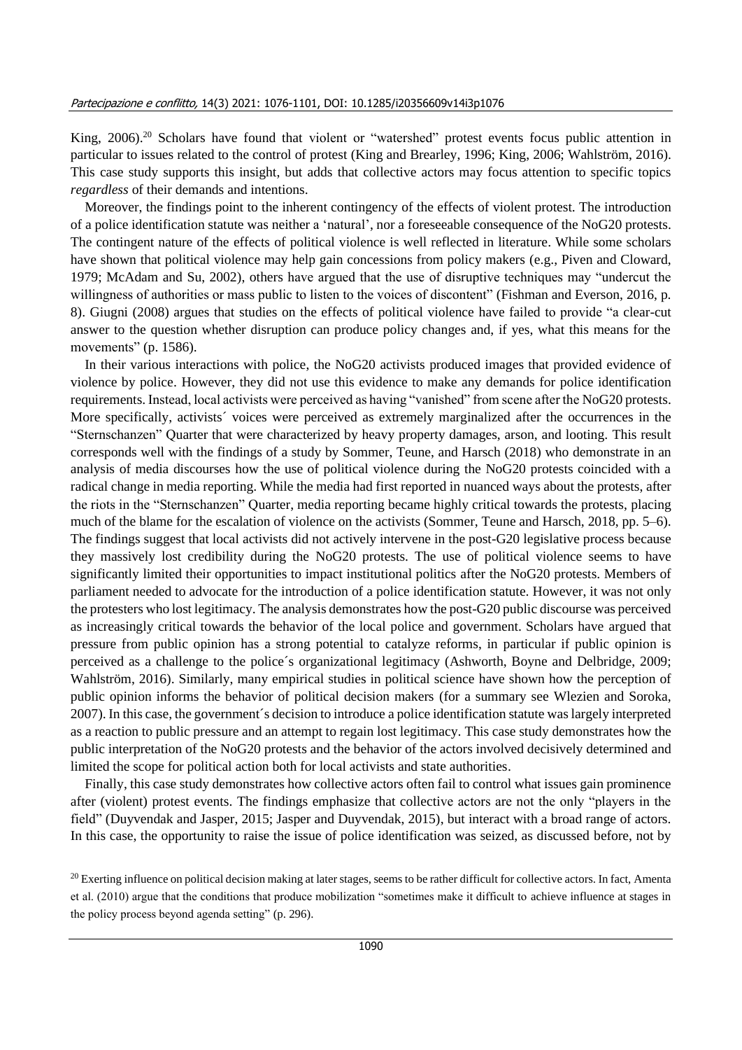King, 2006).<sup>20</sup> Scholars have found that violent or "watershed" protest events focus public attention in particular to issues related to the control of protest (King and Brearley, 1996; King, 2006; Wahlström, 2016). This case study supports this insight, but adds that collective actors may focus attention to specific topics *regardless* of their demands and intentions.

Moreover, the findings point to the inherent contingency of the effects of violent protest. The introduction of a police identification statute was neither a 'natural', nor a foreseeable consequence of the NoG20 protests. The contingent nature of the effects of political violence is well reflected in literature. While some scholars have shown that political violence may help gain concessions from policy makers (e.g., Piven and Cloward, 1979; McAdam and Su, 2002), others have argued that the use of disruptive techniques may "undercut the willingness of authorities or mass public to listen to the voices of discontent" (Fishman and Everson, 2016, p. 8). Giugni (2008) argues that studies on the effects of political violence have failed to provide "a clear-cut answer to the question whether disruption can produce policy changes and, if yes, what this means for the movements" (p. 1586).

In their various interactions with police, the NoG20 activists produced images that provided evidence of violence by police. However, they did not use this evidence to make any demands for police identification requirements. Instead, local activists were perceived as having "vanished" from scene after the NoG20 protests. More specifically, activists<sup> $\prime$ </sup> voices were perceived as extremely marginalized after the occurrences in the "Sternschanzen" Quarter that were characterized by heavy property damages, arson, and looting. This result corresponds well with the findings of a study by Sommer, Teune, and Harsch (2018) who demonstrate in an analysis of media discourses how the use of political violence during the NoG20 protests coincided with a radical change in media reporting. While the media had first reported in nuanced ways about the protests, after the riots in the "Sternschanzen" Quarter, media reporting became highly critical towards the protests, placing much of the blame for the escalation of violence on the activists (Sommer, Teune and Harsch, 2018, pp. 5–6). The findings suggest that local activists did not actively intervene in the post-G20 legislative process because they massively lost credibility during the NoG20 protests. The use of political violence seems to have significantly limited their opportunities to impact institutional politics after the NoG20 protests. Members of parliament needed to advocate for the introduction of a police identification statute. However, it was not only the protesters who lost legitimacy. The analysis demonstrates how the post-G20 public discourse was perceived as increasingly critical towards the behavior of the local police and government. Scholars have argued that pressure from public opinion has a strong potential to catalyze reforms, in particular if public opinion is perceived as a challenge to the police´s organizational legitimacy (Ashworth, Boyne and Delbridge, 2009; Wahlström, 2016). Similarly, many empirical studies in political science have shown how the perception of public opinion informs the behavior of political decision makers (for a summary see Wlezien and Soroka, 2007). In this case, the government´s decision to introduce a police identification statute was largely interpreted as a reaction to public pressure and an attempt to regain lost legitimacy. This case study demonstrates how the public interpretation of the NoG20 protests and the behavior of the actors involved decisively determined and limited the scope for political action both for local activists and state authorities.

Finally, this case study demonstrates how collective actors often fail to control what issues gain prominence after (violent) protest events. The findings emphasize that collective actors are not the only "players in the field" (Duyvendak and Jasper, 2015; Jasper and Duyvendak, 2015), but interact with a broad range of actors. In this case, the opportunity to raise the issue of police identification was seized, as discussed before, not by

<sup>&</sup>lt;sup>20</sup> Exerting influence on political decision making at later stages, seems to be rather difficult for collective actors. In fact, Amenta et al. (2010) argue that the conditions that produce mobilization "sometimes make it difficult to achieve influence at stages in the policy process beyond agenda setting" (p. 296).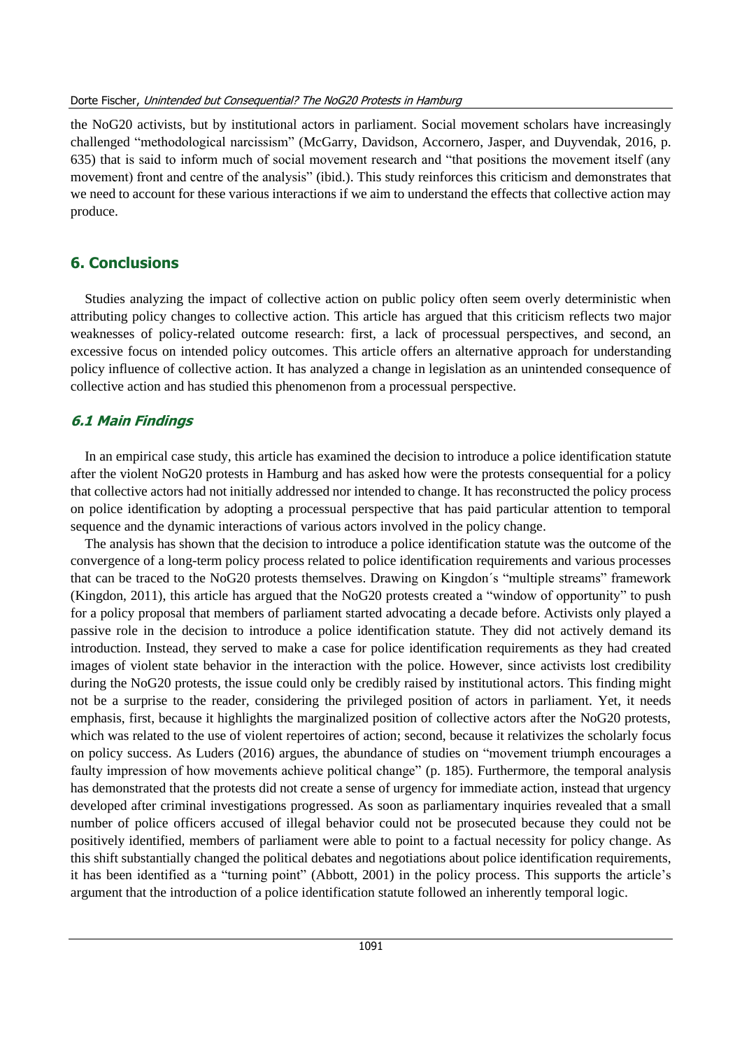the NoG20 activists, but by institutional actors in parliament. Social movement scholars have increasingly challenged "methodological narcissism" (McGarry, Davidson, Accornero, Jasper, and Duyvendak, 2016, p. 635) that is said to inform much of social movement research and "that positions the movement itself (any movement) front and centre of the analysis" (ibid.). This study reinforces this criticism and demonstrates that we need to account for these various interactions if we aim to understand the effects that collective action may produce.

## **6. Conclusions**

Studies analyzing the impact of collective action on public policy often seem overly deterministic when attributing policy changes to collective action. This article has argued that this criticism reflects two major weaknesses of policy-related outcome research: first, a lack of processual perspectives, and second, an excessive focus on intended policy outcomes. This article offers an alternative approach for understanding policy influence of collective action. It has analyzed a change in legislation as an unintended consequence of collective action and has studied this phenomenon from a processual perspective.

## **6.1 Main Findings**

In an empirical case study, this article has examined the decision to introduce a police identification statute after the violent NoG20 protests in Hamburg and has asked how were the protests consequential for a policy that collective actors had not initially addressed nor intended to change. It has reconstructed the policy process on police identification by adopting a processual perspective that has paid particular attention to temporal sequence and the dynamic interactions of various actors involved in the policy change.

The analysis has shown that the decision to introduce a police identification statute was the outcome of the convergence of a long-term policy process related to police identification requirements and various processes that can be traced to the NoG20 protests themselves. Drawing on Kingdon´s "multiple streams" framework (Kingdon, 2011), this article has argued that the NoG20 protests created a "window of opportunity" to push for a policy proposal that members of parliament started advocating a decade before. Activists only played a passive role in the decision to introduce a police identification statute. They did not actively demand its introduction. Instead, they served to make a case for police identification requirements as they had created images of violent state behavior in the interaction with the police. However, since activists lost credibility during the NoG20 protests, the issue could only be credibly raised by institutional actors. This finding might not be a surprise to the reader, considering the privileged position of actors in parliament. Yet, it needs emphasis, first, because it highlights the marginalized position of collective actors after the NoG20 protests, which was related to the use of violent repertoires of action; second, because it relativizes the scholarly focus on policy success. As Luders (2016) argues, the abundance of studies on "movement triumph encourages a faulty impression of how movements achieve political change" (p. 185). Furthermore, the temporal analysis has demonstrated that the protests did not create a sense of urgency for immediate action, instead that urgency developed after criminal investigations progressed. As soon as parliamentary inquiries revealed that a small number of police officers accused of illegal behavior could not be prosecuted because they could not be positively identified, members of parliament were able to point to a factual necessity for policy change. As this shift substantially changed the political debates and negotiations about police identification requirements, it has been identified as a "turning point" (Abbott, 2001) in the policy process. This supports the article's argument that the introduction of a police identification statute followed an inherently temporal logic.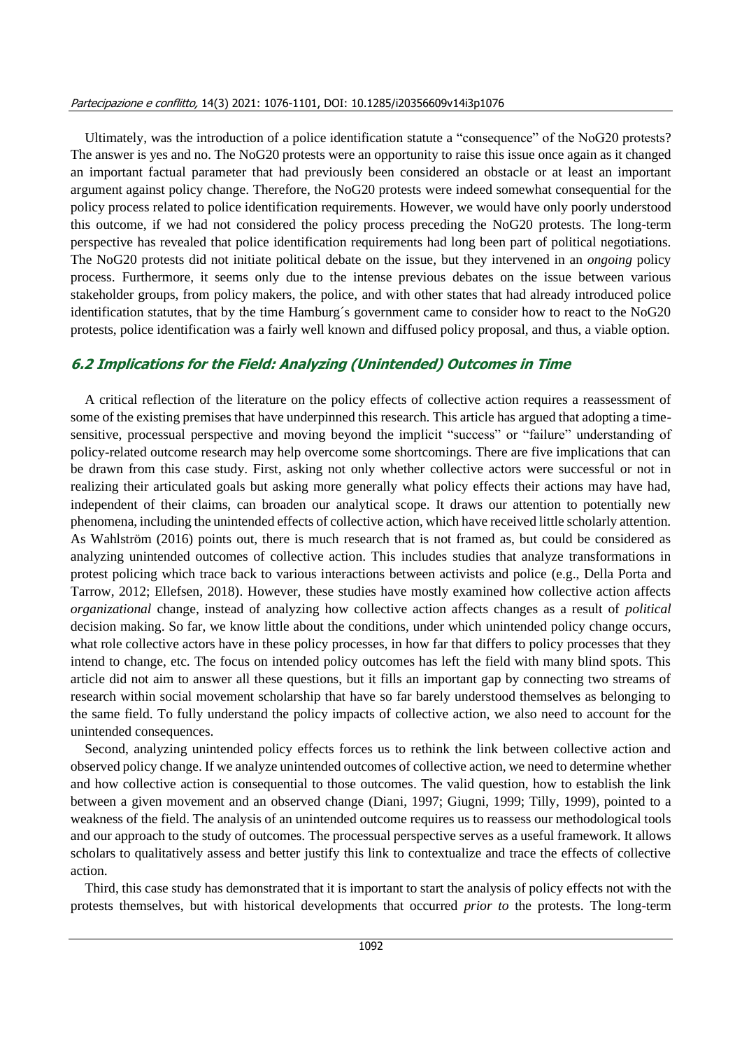#### Partecipazione e conflitto, 14(3) 2021: 1076-1101, DOI: 10.1285/i20356609v14i3p1076

Ultimately, was the introduction of a police identification statute a "consequence" of the NoG20 protests? The answer is yes and no. The NoG20 protests were an opportunity to raise this issue once again as it changed an important factual parameter that had previously been considered an obstacle or at least an important argument against policy change. Therefore, the NoG20 protests were indeed somewhat consequential for the policy process related to police identification requirements. However, we would have only poorly understood this outcome, if we had not considered the policy process preceding the NoG20 protests. The long-term perspective has revealed that police identification requirements had long been part of political negotiations. The NoG20 protests did not initiate political debate on the issue, but they intervened in an *ongoing* policy process. Furthermore, it seems only due to the intense previous debates on the issue between various stakeholder groups, from policy makers, the police, and with other states that had already introduced police identification statutes, that by the time Hamburg´s government came to consider how to react to the NoG20 protests, police identification was a fairly well known and diffused policy proposal, and thus, a viable option.

## **6.2 Implications for the Field: Analyzing (Unintended) Outcomes in Time**

A critical reflection of the literature on the policy effects of collective action requires a reassessment of some of the existing premises that have underpinned this research. This article has argued that adopting a timesensitive, processual perspective and moving beyond the implicit "success" or "failure" understanding of policy-related outcome research may help overcome some shortcomings. There are five implications that can be drawn from this case study. First, asking not only whether collective actors were successful or not in realizing their articulated goals but asking more generally what policy effects their actions may have had, independent of their claims, can broaden our analytical scope. It draws our attention to potentially new phenomena, including the unintended effects of collective action, which have received little scholarly attention. As Wahlström (2016) points out, there is much research that is not framed as, but could be considered as analyzing unintended outcomes of collective action. This includes studies that analyze transformations in protest policing which trace back to various interactions between activists and police (e.g., Della Porta and Tarrow, 2012; Ellefsen, 2018). However, these studies have mostly examined how collective action affects *organizational* change, instead of analyzing how collective action affects changes as a result of *political* decision making. So far, we know little about the conditions, under which unintended policy change occurs, what role collective actors have in these policy processes, in how far that differs to policy processes that they intend to change, etc. The focus on intended policy outcomes has left the field with many blind spots. This article did not aim to answer all these questions, but it fills an important gap by connecting two streams of research within social movement scholarship that have so far barely understood themselves as belonging to the same field. To fully understand the policy impacts of collective action, we also need to account for the unintended consequences.

Second, analyzing unintended policy effects forces us to rethink the link between collective action and observed policy change. If we analyze unintended outcomes of collective action, we need to determine whether and how collective action is consequential to those outcomes. The valid question, how to establish the link between a given movement and an observed change (Diani, 1997; Giugni, 1999; Tilly, 1999), pointed to a weakness of the field. The analysis of an unintended outcome requires us to reassess our methodological tools and our approach to the study of outcomes. The processual perspective serves as a useful framework. It allows scholars to qualitatively assess and better justify this link to contextualize and trace the effects of collective action.

Third, this case study has demonstrated that it is important to start the analysis of policy effects not with the protests themselves, but with historical developments that occurred *prior to* the protests. The long-term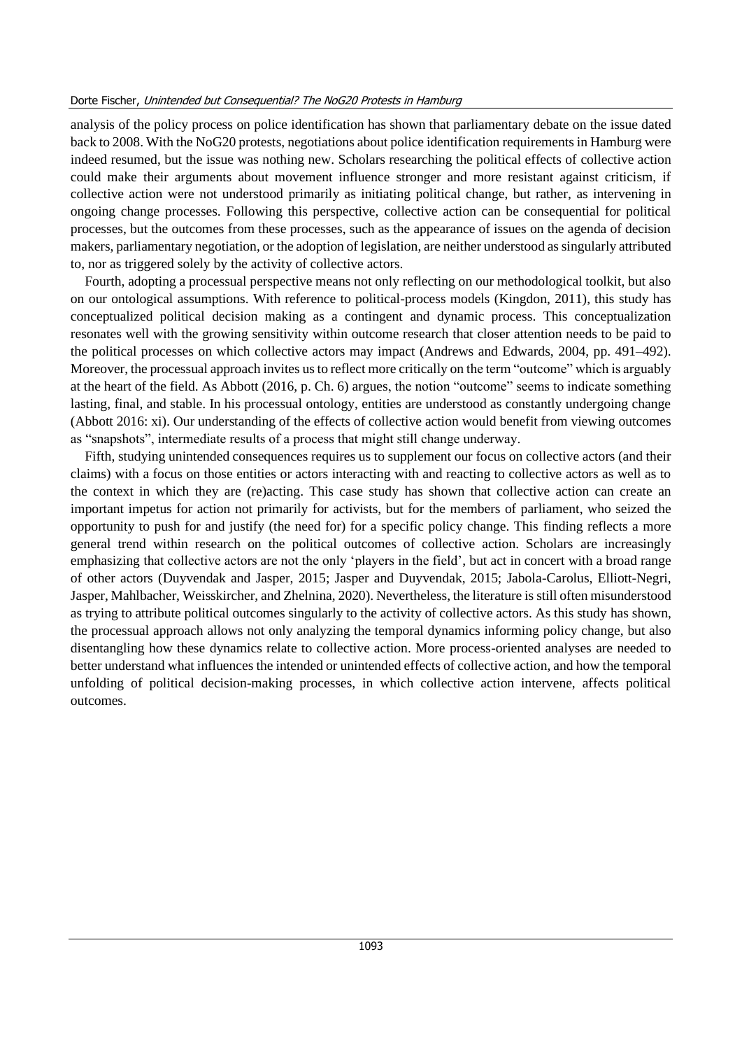analysis of the policy process on police identification has shown that parliamentary debate on the issue dated back to 2008. With the NoG20 protests, negotiations about police identification requirements in Hamburg were indeed resumed, but the issue was nothing new. Scholars researching the political effects of collective action could make their arguments about movement influence stronger and more resistant against criticism, if collective action were not understood primarily as initiating political change, but rather, as intervening in ongoing change processes. Following this perspective, collective action can be consequential for political processes, but the outcomes from these processes, such as the appearance of issues on the agenda of decision makers, parliamentary negotiation, or the adoption of legislation, are neither understood as singularly attributed to, nor as triggered solely by the activity of collective actors.

Fourth, adopting a processual perspective means not only reflecting on our methodological toolkit, but also on our ontological assumptions. With reference to political-process models (Kingdon, 2011), this study has conceptualized political decision making as a contingent and dynamic process. This conceptualization resonates well with the growing sensitivity within outcome research that closer attention needs to be paid to the political processes on which collective actors may impact (Andrews and Edwards, 2004, pp. 491–492). Moreover, the processual approach invites us to reflect more critically on the term "outcome" which is arguably at the heart of the field. As Abbott (2016, p. Ch. 6) argues, the notion "outcome" seems to indicate something lasting, final, and stable. In his processual ontology, entities are understood as constantly undergoing change (Abbott 2016: xi). Our understanding of the effects of collective action would benefit from viewing outcomes as "snapshots", intermediate results of a process that might still change underway.

Fifth, studying unintended consequences requires us to supplement our focus on collective actors (and their claims) with a focus on those entities or actors interacting with and reacting to collective actors as well as to the context in which they are (re)acting. This case study has shown that collective action can create an important impetus for action not primarily for activists, but for the members of parliament, who seized the opportunity to push for and justify (the need for) for a specific policy change. This finding reflects a more general trend within research on the political outcomes of collective action. Scholars are increasingly emphasizing that collective actors are not the only 'players in the field', but act in concert with a broad range of other actors (Duyvendak and Jasper, 2015; Jasper and Duyvendak, 2015; Jabola-Carolus, Elliott-Negri, Jasper, Mahlbacher, Weisskircher, and Zhelnina, 2020). Nevertheless, the literature is still often misunderstood as trying to attribute political outcomes singularly to the activity of collective actors. As this study has shown, the processual approach allows not only analyzing the temporal dynamics informing policy change, but also disentangling how these dynamics relate to collective action. More process-oriented analyses are needed to better understand what influences the intended or unintended effects of collective action, and how the temporal unfolding of political decision-making processes, in which collective action intervene, affects political outcomes.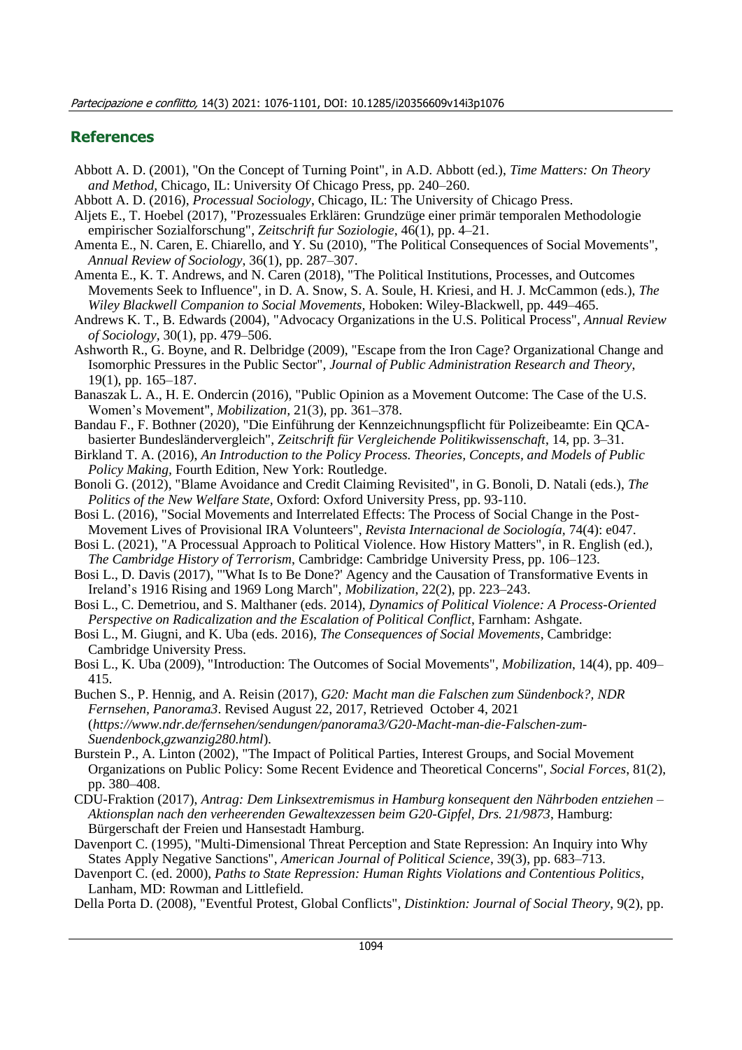#### **References**

- Abbott A. D. (2001), "On the Concept of Turning Point", in A.D. Abbott (ed.), *Time Matters: On Theory and Method*, Chicago, IL: University Of Chicago Press, pp. 240–260.
- Abbott A. D. (2016), *Processual Sociology*, Chicago, IL: The University of Chicago Press.
- Aljets E., T. Hoebel (2017), "Prozessuales Erklären: Grundzüge einer primär temporalen Methodologie empirischer Sozialforschung", *Zeitschrift fur Soziologie*, 46(1), pp. 4–21.
- Amenta E., N. Caren, E. Chiarello, and Y. Su (2010), "The Political Consequences of Social Movements", *Annual Review of Sociology*, 36(1), pp. 287–307.
- Amenta E., K. T. Andrews, and N. Caren (2018), "The Political Institutions, Processes, and Outcomes Movements Seek to Influence", in D. A. Snow, S. A. Soule, H. Kriesi, and H. J. McCammon (eds.), *The Wiley Blackwell Companion to Social Movements,* Hoboken: Wiley-Blackwell, pp. 449–465.
- Andrews K. T., B. Edwards (2004), "Advocacy Organizations in the U.S. Political Process", *Annual Review of Sociology,* 30(1), pp. 479–506.
- Ashworth R., G. Boyne, and R. Delbridge (2009), "Escape from the Iron Cage? Organizational Change and Isomorphic Pressures in the Public Sector", *Journal of Public Administration Research and Theory*, 19(1), pp. 165–187.
- Banaszak L. A., H. E. Ondercin (2016), "Public Opinion as a Movement Outcome: The Case of the U.S. Women's Movement", *Mobilization,* 21(3), pp. 361–378.
- Bandau F., F. Bothner (2020), "Die Einführung der Kennzeichnungspflicht für Polizeibeamte: Ein QCAbasierter Bundesländervergleich", *Zeitschrift für Vergleichende Politikwissenschaft*, 14, pp. 3–31.
- Birkland T. A. (2016), *An Introduction to the Policy Process. Theories, Concepts, and Models of Public Policy Making,* Fourth Edition, New York: Routledge.
- Bonoli G. (2012), "Blame Avoidance and Credit Claiming Revisited", in G. Bonoli, D. Natali (eds.), *The Politics of the New Welfare State,* Oxford: Oxford University Press, pp. 93-110.
- Bosi L. (2016), "Social Movements and Interrelated Effects: The Process of Social Change in the Post-Movement Lives of Provisional IRA Volunteers", *Revista Internacional de Sociología,* 74(4): e047.
- Bosi L. (2021), "A Processual Approach to Political Violence. How History Matters", in R. English (ed.), *The Cambridge History of Terrorism*, Cambridge: Cambridge University Press, pp. 106–123.
- Bosi L., D. Davis (2017), "'What Is to Be Done?' Agency and the Causation of Transformative Events in Ireland's 1916 Rising and 1969 Long March", *Mobilization*, 22(2), pp. 223–243.
- Bosi L., C. Demetriou, and S. Malthaner (eds. 2014), *Dynamics of Political Violence: A Process-Oriented Perspective on Radicalization and the Escalation of Political Conflict*, Farnham: Ashgate.
- Bosi L., M. Giugni, and K. Uba (eds. 2016), *The Consequences of Social Movements*, Cambridge: Cambridge University Press.
- Bosi L., K. Uba (2009), "Introduction: The Outcomes of Social Movements", *Mobilization*, 14(4), pp. 409– 415.
- Buchen S., P. Hennig, and A. Reisin (2017), *G20: Macht man die Falschen zum Sündenbock?, NDR Fernsehen, Panorama3*. Revised August 22, 2017, Retrieved October 4, 2021 (*https://www.ndr.de/fernsehen/sendungen/panorama3/G20-Macht-man-die-Falschen-zum-Suendenbock,gzwanzig280.html*).
- Burstein P., A. Linton (2002), "The Impact of Political Parties, Interest Groups, and Social Movement Organizations on Public Policy: Some Recent Evidence and Theoretical Concerns", *Social Forces*, 81(2), pp. 380–408.
- CDU-Fraktion (2017), *Antrag: Dem Linksextremismus in Hamburg konsequent den Nährboden entziehen – Aktionsplan nach den verheerenden Gewaltexzessen beim G20-Gipfel, Drs. 21/9873*, Hamburg: Bürgerschaft der Freien und Hansestadt Hamburg.
- Davenport C. (1995), "Multi-Dimensional Threat Perception and State Repression: An Inquiry into Why States Apply Negative Sanctions", *American Journal of Political Science*, 39(3), pp. 683–713.
- Davenport C. (ed. 2000), *Paths to State Repression: Human Rights Violations and Contentious Politics*, Lanham, MD: Rowman and Littlefield.
- Della Porta D. (2008), "Eventful Protest, Global Conflicts", *Distinktion: Journal of Social Theory*, 9(2), pp.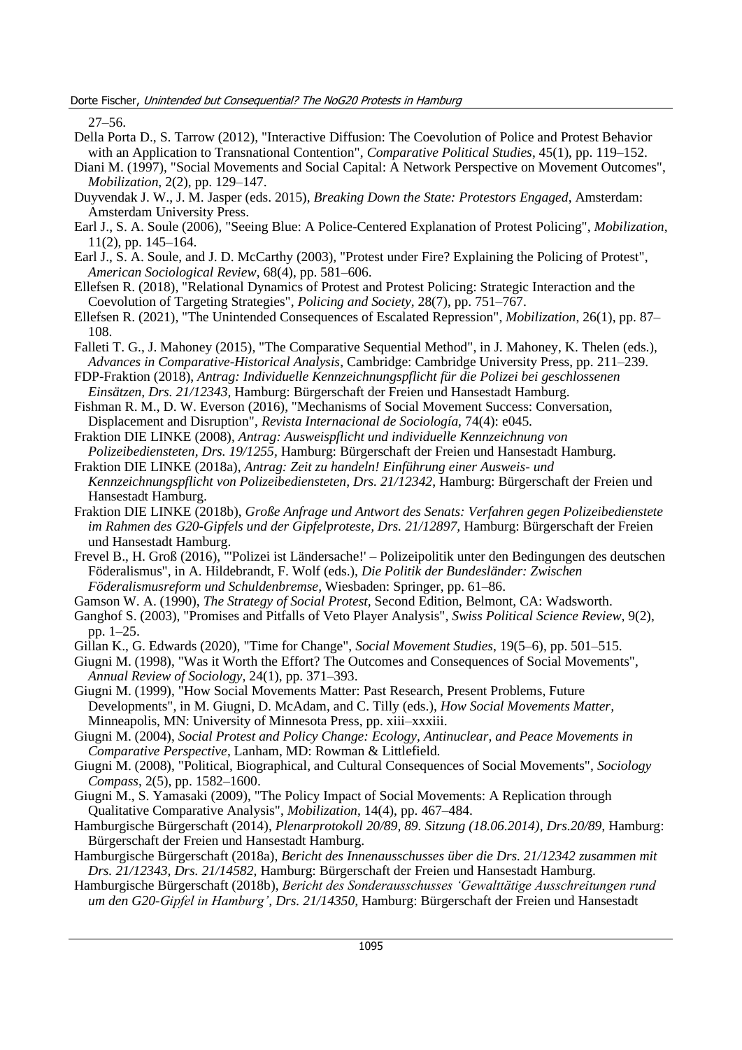27–56.

- Della Porta D., S. Tarrow (2012), "Interactive Diffusion: The Coevolution of Police and Protest Behavior with an Application to Transnational Contention", *Comparative Political Studies*, 45(1), pp. 119–152.
- Diani M. (1997), "Social Movements and Social Capital: A Network Perspective on Movement Outcomes", *Mobilization*, 2(2), pp. 129–147.
- Duyvendak J. W., J. M. Jasper (eds. 2015), *Breaking Down the State: Protestors Engaged*, Amsterdam: Amsterdam University Press.
- Earl J., S. A. Soule (2006), "Seeing Blue: A Police-Centered Explanation of Protest Policing", *Mobilization*, 11(2), pp. 145–164.
- Earl J., S. A. Soule, and J. D. McCarthy (2003), "Protest under Fire? Explaining the Policing of Protest", *American Sociological Review*, 68(4), pp. 581–606.
- Ellefsen R. (2018), "Relational Dynamics of Protest and Protest Policing: Strategic Interaction and the Coevolution of Targeting Strategies", *Policing and Society*, 28(7), pp. 751–767.
- Ellefsen R. (2021), "The Unintended Consequences of Escalated Repression", *Mobilization*, 26(1), pp. 87– 108.
- Falleti T. G., J. Mahoney (2015), "The Comparative Sequential Method", in J. Mahoney, K. Thelen (eds.), *Advances in Comparative-Historical Analysis*, Cambridge: Cambridge University Press, pp. 211–239.
- FDP-Fraktion (2018), *Antrag: Individuelle Kennzeichnungspflicht für die Polizei bei geschlossenen Einsätzen, Drs. 21/12343,* Hamburg: Bürgerschaft der Freien und Hansestadt Hamburg.
- Fishman R. M., D. W. Everson (2016), "Mechanisms of Social Movement Success: Conversation, Displacement and Disruption", *Revista Internacional de Sociología,* 74(4): e045.
- Fraktion DIE LINKE (2008), *Antrag: Ausweispflicht und individuelle Kennzeichnung von Polizeibediensteten, Drs. 19/1255,* Hamburg: Bürgerschaft der Freien und Hansestadt Hamburg.
- Fraktion DIE LINKE (2018a), *Antrag: Zeit zu handeln! Einführung einer Ausweis- und Kennzeichnungspflicht von Polizeibediensteten, Drs. 21/12342*, Hamburg: Bürgerschaft der Freien und Hansestadt Hamburg.
- Fraktion DIE LINKE (2018b), *Große Anfrage und Antwort des Senats: Verfahren gegen Polizeibedienstete im Rahmen des G20-Gipfels und der Gipfelproteste, Drs. 21/12897,* Hamburg: Bürgerschaft der Freien und Hansestadt Hamburg.
- Frevel B., H. Groß (2016), "'Polizei ist Ländersache!' Polizeipolitik unter den Bedingungen des deutschen Föderalismus", in A. Hildebrandt, F. Wolf (eds.), *Die Politik der Bundesländer: Zwischen Föderalismusreform und Schuldenbremse,* Wiesbaden: Springer, pp. 61–86.
- Gamson W. A. (1990), *The Strategy of Social Protest,* Second Edition, Belmont, CA: Wadsworth.
- Ganghof S. (2003), "Promises and Pitfalls of Veto Player Analysis", *Swiss Political Science Review*, 9(2), pp. 1–25.
- Gillan K., G. Edwards (2020), "Time for Change", *Social Movement Studies*, 19(5–6), pp. 501–515.
- Giugni M. (1998), "Was it Worth the Effort? The Outcomes and Consequences of Social Movements", *Annual Review of Sociology,* 24(1), pp. 371–393.
- Giugni M. (1999), "How Social Movements Matter: Past Research, Present Problems, Future Developments", in M. Giugni, D. McAdam, and C. Tilly (eds.), *How Social Movements Matter,* Minneapolis, MN: University of Minnesota Press, pp. xiii–xxxiii.
- Giugni M. (2004), *Social Protest and Policy Change: Ecology, Antinuclear, and Peace Movements in Comparative Perspective*, Lanham, MD: Rowman & Littlefield.
- Giugni M. (2008), "Political, Biographical, and Cultural Consequences of Social Movements", *Sociology Compass*, 2(5), pp. 1582–1600.
- Giugni M., S. Yamasaki (2009), "The Policy Impact of Social Movements: A Replication through Qualitative Comparative Analysis", *Mobilization*, 14(4), pp. 467–484.
- Hamburgische Bürgerschaft (2014), *Plenarprotokoll 20/89, 89. Sitzung (18.06.2014), Drs.20/89,* Hamburg: Bürgerschaft der Freien und Hansestadt Hamburg.
- Hamburgische Bürgerschaft (2018a), *Bericht des Innenausschusses über die Drs. 21/12342 zusammen mit Drs. 21/12343, Drs. 21/14582*, Hamburg: Bürgerschaft der Freien und Hansestadt Hamburg.
- Hamburgische Bürgerschaft (2018b), *Bericht des Sonderausschusses 'Gewalttätige Ausschreitungen rund um den G20-Gipfel in Hamburg', Drs. 21/14350,* Hamburg: Bürgerschaft der Freien und Hansestadt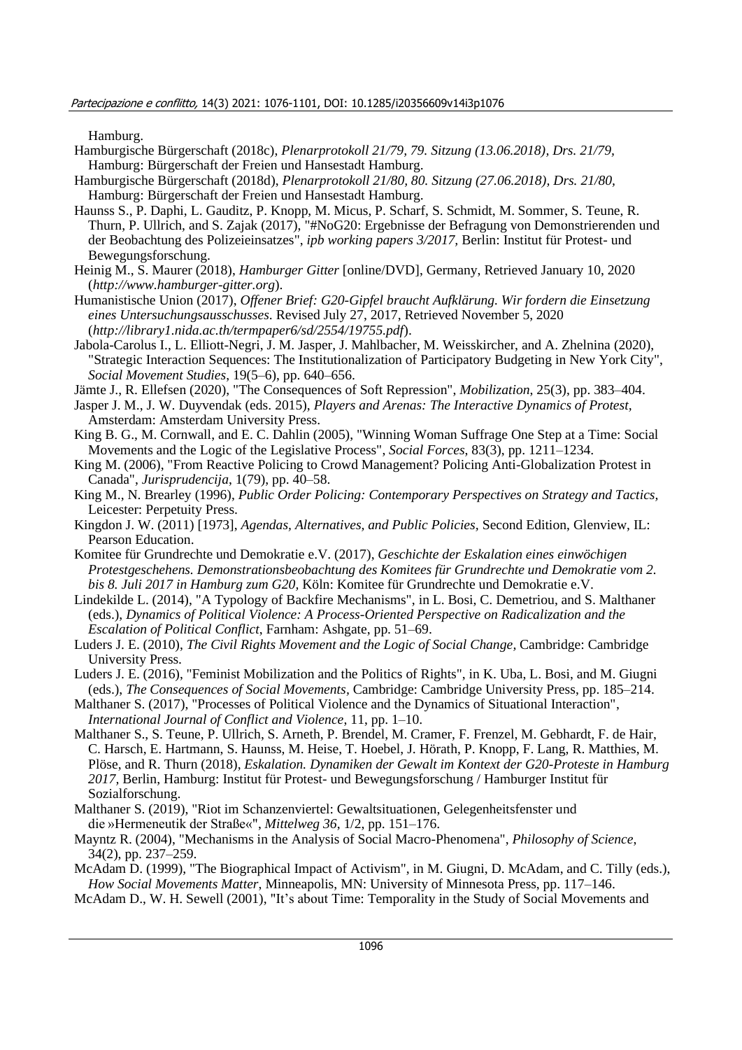Hamburg.

- Hamburgische Bürgerschaft (2018c), *Plenarprotokoll 21/79, 79. Sitzung (13.06.2018), Drs. 21/79,* Hamburg: Bürgerschaft der Freien und Hansestadt Hamburg.
- Hamburgische Bürgerschaft (2018d), *Plenarprotokoll 21/80, 80. Sitzung (27.06.2018), Drs. 21/80,* Hamburg: Bürgerschaft der Freien und Hansestadt Hamburg.
- Haunss S., P. Daphi, L. Gauditz, P. Knopp, M. Micus, P. Scharf, S. Schmidt, M. Sommer, S. Teune, R. Thurn, P. Ullrich, and S. Zajak (2017), "#NoG20: Ergebnisse der Befragung von Demonstrierenden und der Beobachtung des Polizeieinsatzes", *ipb working papers 3/2017,* Berlin: Institut für Protest- und Bewegungsforschung.
- Heinig M., S. Maurer (2018), *Hamburger Gitter* [online/DVD], Germany, Retrieved January 10, 2020 (*http://www.hamburger-gitter.org*).
- Humanistische Union (2017), *Offener Brief: G20-Gipfel braucht Aufklärung. Wir fordern die Einsetzung eines Untersuchungsausschusses*. Revised July 27, 2017, Retrieved November 5, 2020 (*http://library1.nida.ac.th/termpaper6/sd/2554/19755.pdf*).
- Jabola-Carolus I., L. Elliott-Negri, J. M. Jasper, J. Mahlbacher, M. Weisskircher, and A. Zhelnina (2020), "Strategic Interaction Sequences: The Institutionalization of Participatory Budgeting in New York City", *Social Movement Studies*, 19(5–6), pp. 640–656.
- Jämte J., R. Ellefsen (2020), "The Consequences of Soft Repression", *Mobilization*, 25(3), pp. 383–404.
- Jasper J. M., J. W. Duyvendak (eds. 2015), *Players and Arenas: The Interactive Dynamics of Protest,* Amsterdam: Amsterdam University Press.
- King B. G., M. Cornwall, and E. C. Dahlin (2005), "Winning Woman Suffrage One Step at a Time: Social Movements and the Logic of the Legislative Process", *Social Forces*, 83(3), pp. 1211–1234.
- King M. (2006), "From Reactive Policing to Crowd Management? Policing Anti-Globalization Protest in Canada", *Jurisprudencija*, 1(79), pp. 40–58.
- King M., N. Brearley (1996), *Public Order Policing: Contemporary Perspectives on Strategy and Tactics,* Leicester: Perpetuity Press.
- Kingdon J. W. (2011) [1973], *Agendas, Alternatives, and Public Policies,* Second Edition, Glenview, IL: Pearson Education.
- Komitee für Grundrechte und Demokratie e.V. (2017), *Geschichte der Eskalation eines einwöchigen Protestgeschehens. Demonstrationsbeobachtung des Komitees für Grundrechte und Demokratie vom 2. bis 8. Juli 2017 in Hamburg zum G20,* Köln: Komitee für Grundrechte und Demokratie e.V.
- Lindekilde L. (2014), "A Typology of Backfire Mechanisms", in L. Bosi, C. Demetriou, and S. Malthaner (eds.), *Dynamics of Political Violence: A Process-Oriented Perspective on Radicalization and the Escalation of Political Conflict*, Farnham: Ashgate, pp. 51–69.
- Luders J. E. (2010), *The Civil Rights Movement and the Logic of Social Change,* Cambridge: Cambridge University Press.
- Luders J. E. (2016), "Feminist Mobilization and the Politics of Rights", in K. Uba, L. Bosi, and M. Giugni (eds.), *The Consequences of Social Movements,* Cambridge: Cambridge University Press, pp. 185–214.
- Malthaner S. (2017), "Processes of Political Violence and the Dynamics of Situational Interaction", *International Journal of Conflict and Violence*, 11, pp. 1–10.
- Malthaner S., S. Teune, P. Ullrich, S. Arneth, P. Brendel, M. Cramer, F. Frenzel, M. Gebhardt, F. de Hair, C. Harsch, E. Hartmann, S. Haunss, M. Heise, T. Hoebel, J. Hörath, P. Knopp, F. Lang, R. Matthies, M. Plöse, and R. Thurn (2018), *Eskalation. Dynamiken der Gewalt im Kontext der G20-Proteste in Hamburg 2017,* Berlin, Hamburg: Institut für Protest- und Bewegungsforschung / Hamburger Institut für Sozialforschung.
- Malthaner S. (2019), "Riot im Schanzenviertel: Gewaltsituationen, Gelegenheitsfenster und die »Hermeneutik der Straße«", *Mittelweg 36*, 1/2, pp. 151–176.
- Mayntz R. (2004), "Mechanisms in the Analysis of Social Macro-Phenomena", *Philosophy of Science*, 34(2), pp. 237–259.
- McAdam D. (1999), "The Biographical Impact of Activism", in M. Giugni, D. McAdam, and C. Tilly (eds.), *How Social Movements Matter*, Minneapolis, MN: University of Minnesota Press, pp. 117–146.
- McAdam D., W. H. Sewell (2001), "It's about Time: Temporality in the Study of Social Movements and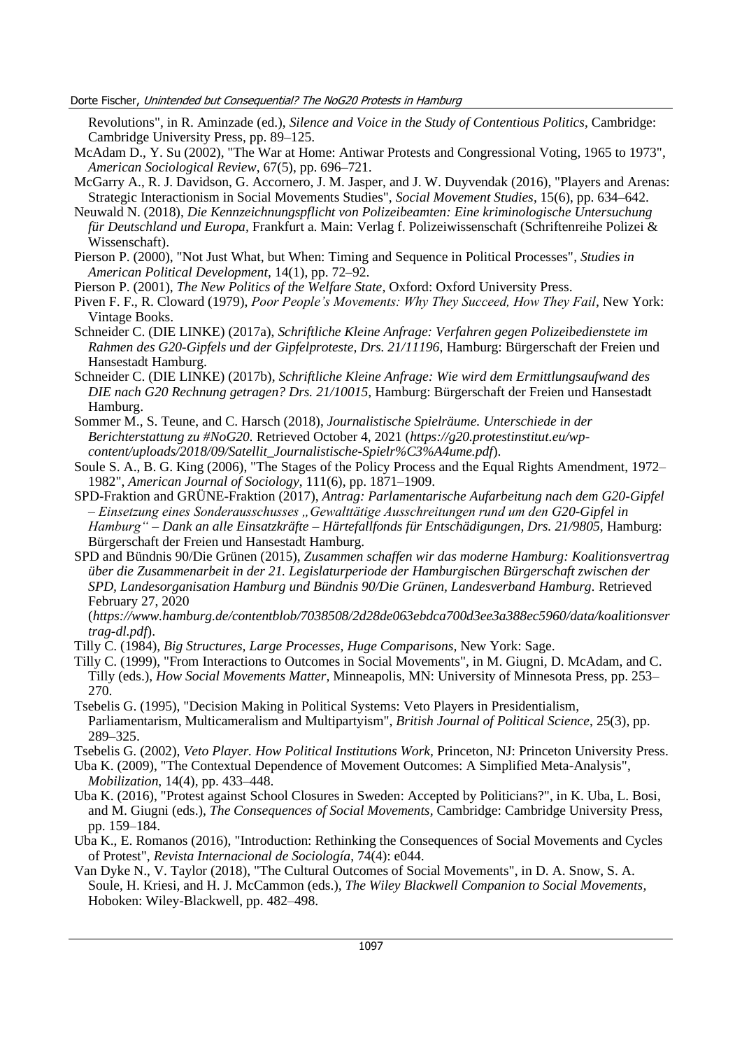Revolutions", in R. Aminzade (ed.), *Silence and Voice in the Study of Contentious Politics*, Cambridge: Cambridge University Press, pp. 89–125.

- McAdam D., Y. Su (2002), "The War at Home: Antiwar Protests and Congressional Voting, 1965 to 1973", *American Sociological Review*, 67(5), pp. 696–721.
- McGarry A., R. J. Davidson, G. Accornero, J. M. Jasper, and J. W. Duyvendak (2016), "Players and Arenas: Strategic Interactionism in Social Movements Studies", *Social Movement Studies*, 15(6), pp. 634–642.
- Neuwald N. (2018), *Die Kennzeichnungspflicht von Polizeibeamten: Eine kriminologische Untersuchung für Deutschland und Europa,* Frankfurt a. Main: Verlag f. Polizeiwissenschaft (Schriftenreihe Polizei & Wissenschaft).
- Pierson P. (2000), "Not Just What, but When: Timing and Sequence in Political Processes", *Studies in American Political Development*, 14(1), pp. 72–92.
- Pierson P. (2001), *The New Politics of the Welfare State,* Oxford: Oxford University Press.
- Piven F. F., R. Cloward (1979), *Poor People's Movements: Why They Succeed, How They Fail,* New York: Vintage Books.
- Schneider C. (DIE LINKE) (2017a), *Schriftliche Kleine Anfrage: Verfahren gegen Polizeibedienstete im Rahmen des G20-Gipfels und der Gipfelproteste, Drs. 21/11196*, Hamburg: Bürgerschaft der Freien und Hansestadt Hamburg.
- Schneider C. (DIE LINKE) (2017b), *Schriftliche Kleine Anfrage: Wie wird dem Ermittlungsaufwand des DIE nach G20 Rechnung getragen? Drs. 21/10015*, Hamburg: Bürgerschaft der Freien und Hansestadt Hamburg.
- Sommer M., S. Teune, and C. Harsch (2018), *Journalistische Spielräume. Unterschiede in der Berichterstattung zu #NoG20.* Retrieved October 4, 2021 (*https://g20.protestinstitut.eu/wpcontent/uploads/2018/09/Satellit\_Journalistische-Spielr%C3%A4ume.pdf*).
- Soule S. A., B. G. King (2006), "The Stages of the Policy Process and the Equal Rights Amendment, 1972– 1982", *American Journal of Sociology*, 111(6), pp. 1871–1909.
- SPD-Fraktion and GRÜNE-Fraktion (2017), *Antrag: Parlamentarische Aufarbeitung nach dem G20-Gipfel – Einsetzung eines Sonderausschusses "Gewalttätige Ausschreitungen rund um den G20-Gipfel in Hamburg" – Dank an alle Einsatzkräfte – Härtefallfonds für Entschädigungen, Drs. 21/9805,* Hamburg: Bürgerschaft der Freien und Hansestadt Hamburg.
- SPD and Bündnis 90/Die Grünen (2015), *Zusammen schaffen wir das moderne Hamburg: Koalitionsvertrag über die Zusammenarbeit in der 21. Legislaturperiode der Hamburgischen Bürgerschaft zwischen der SPD, Landesorganisation Hamburg und Bündnis 90/Die Grünen, Landesverband Hamburg.* Retrieved February 27, 2020

(*https://www.hamburg.de/contentblob/7038508/2d28de063ebdca700d3ee3a388ec5960/data/koalitionsver trag-dl.pdf*).

- Tilly C. (1984), *Big Structures, Large Processes, Huge Comparisons,* New York: Sage.
- Tilly C. (1999), "From Interactions to Outcomes in Social Movements", in M. Giugni, D. McAdam, and C. Tilly (eds.), *How Social Movements Matter,* Minneapolis, MN: University of Minnesota Press, pp. 253– 270.
- Tsebelis G. (1995), "Decision Making in Political Systems: Veto Players in Presidentialism, Parliamentarism, Multicameralism and Multipartyism", *British Journal of Political Science*, 25(3), pp. 289–325.
- Tsebelis G. (2002), *Veto Player. How Political Institutions Work,* Princeton, NJ: Princeton University Press.
- Uba K. (2009), "The Contextual Dependence of Movement Outcomes: A Simplified Meta-Analysis", *Mobilization*, 14(4), pp. 433–448.
- Uba K. (2016), "Protest against School Closures in Sweden: Accepted by Politicians?", in K. Uba, L. Bosi, and M. Giugni (eds.), *The Consequences of Social Movements,* Cambridge: Cambridge University Press, pp. 159–184.
- Uba K., E. Romanos (2016), "Introduction: Rethinking the Consequences of Social Movements and Cycles of Protest", *Revista Internacional de Sociología*, 74(4): e044.
- Van Dyke N., V. Taylor (2018), "The Cultural Outcomes of Social Movements", in D. A. Snow, S. A. Soule, H. Kriesi, and H. J. McCammon (eds.), *The Wiley Blackwell Companion to Social Movements,* Hoboken: Wiley-Blackwell, pp. 482–498.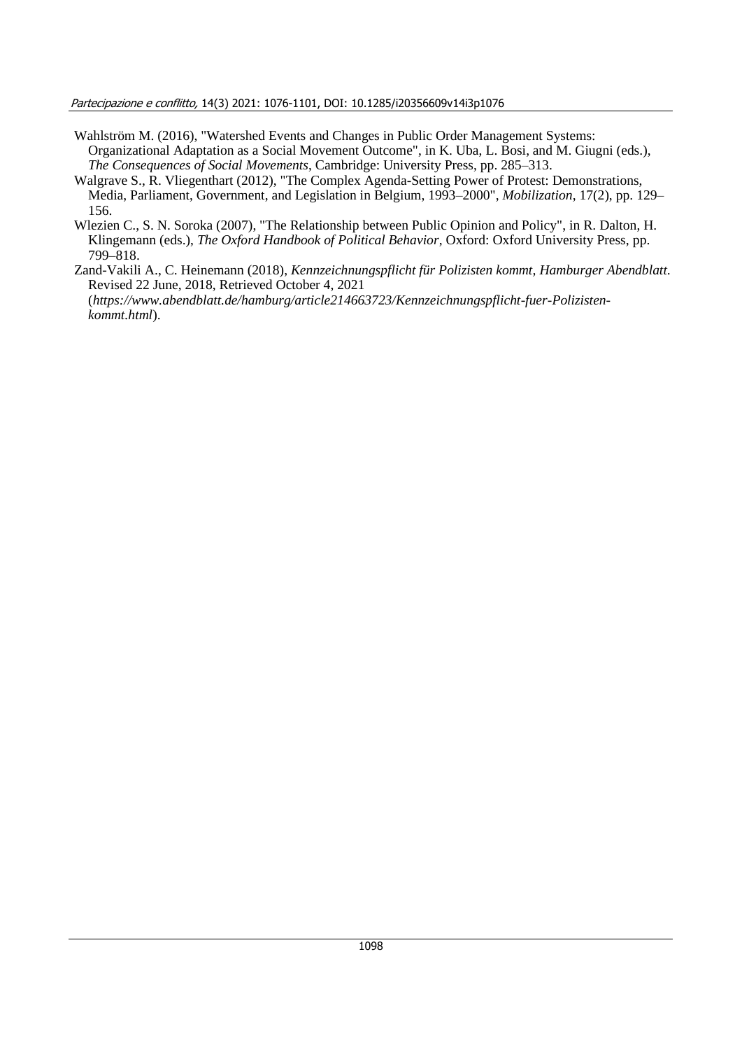Partecipazione e conflitto, 14(3) 2021: 1076-1101, DOI: 10.1285/i20356609v14i3p1076

- Wahlström M. (2016), "Watershed Events and Changes in Public Order Management Systems: Organizational Adaptation as a Social Movement Outcome", in K. Uba, L. Bosi, and M. Giugni (eds.), *The Consequences of Social Movements*, Cambridge: University Press, pp. 285–313.
- Walgrave S., R. Vliegenthart (2012), "The Complex Agenda-Setting Power of Protest: Demonstrations, Media, Parliament, Government, and Legislation in Belgium, 1993–2000", *Mobilization*, 17(2), pp. 129– 156.
- Wlezien C., S. N. Soroka (2007), "The Relationship between Public Opinion and Policy", in R. Dalton, H. Klingemann (eds.), *The Oxford Handbook of Political Behavior*, Oxford: Oxford University Press, pp. 799–818.
- Zand-Vakili A., C. Heinemann (2018), *Kennzeichnungspflicht für Polizisten kommt, Hamburger Abendblatt*. Revised 22 June, 2018, Retrieved October 4, 2021 (*https://www.abendblatt.de/hamburg/article214663723/Kennzeichnungspflicht-fuer-Polizistenkommt.html*).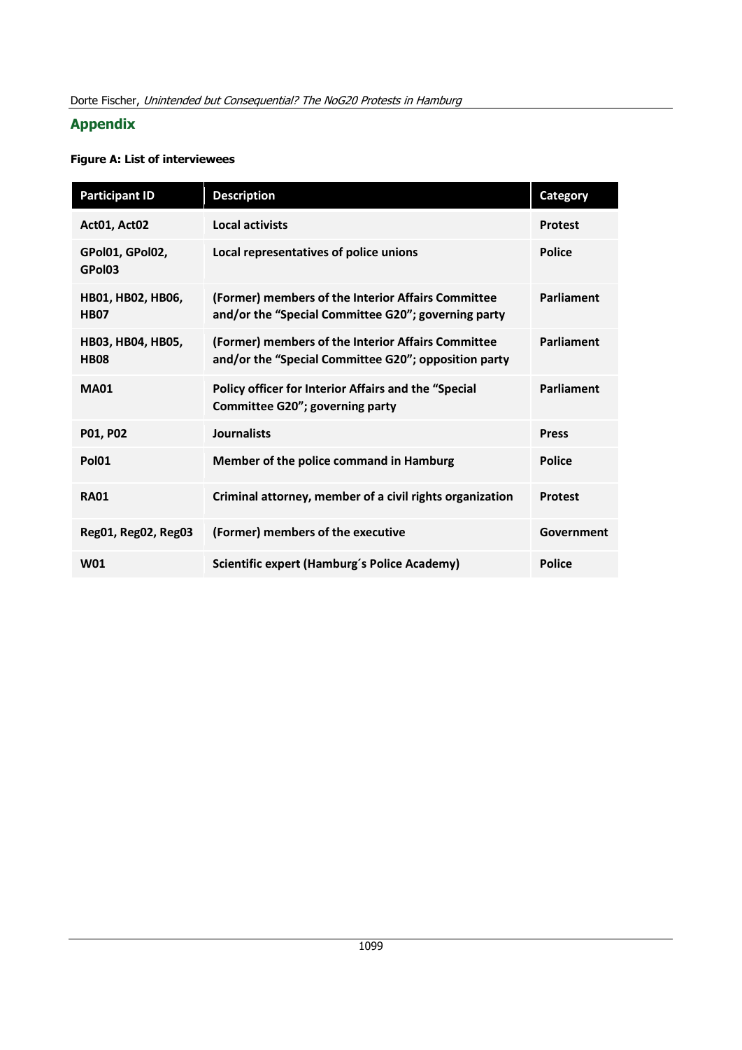# **Appendix**

# **Figure A: List of interviewees**

| <b>Participant ID</b>            | <b>Description</b>                                                                                         | <b>Category</b>   |
|----------------------------------|------------------------------------------------------------------------------------------------------------|-------------------|
| Act01, Act02                     | <b>Local activists</b>                                                                                     | <b>Protest</b>    |
| GPol01, GPol02,<br>GPol03        | Local representatives of police unions                                                                     | <b>Police</b>     |
| HB01, HB02, HB06,<br><b>HB07</b> | (Former) members of the Interior Affairs Committee<br>and/or the "Special Committee G20"; governing party  | <b>Parliament</b> |
| HB03, HB04, HB05,<br><b>HB08</b> | (Former) members of the Interior Affairs Committee<br>and/or the "Special Committee G20"; opposition party | Parliament        |
| <b>MA01</b>                      | Policy officer for Interior Affairs and the "Special<br>Committee G20"; governing party                    | Parliament        |
| P01, P02                         | <b>Journalists</b>                                                                                         | <b>Press</b>      |
| <b>Pol01</b>                     | Member of the police command in Hamburg                                                                    | <b>Police</b>     |
| <b>RA01</b>                      | Criminal attorney, member of a civil rights organization                                                   | <b>Protest</b>    |
| Reg01, Reg02, Reg03              | (Former) members of the executive                                                                          | Government        |
| W01                              | Scientific expert (Hamburg's Police Academy)                                                               | <b>Police</b>     |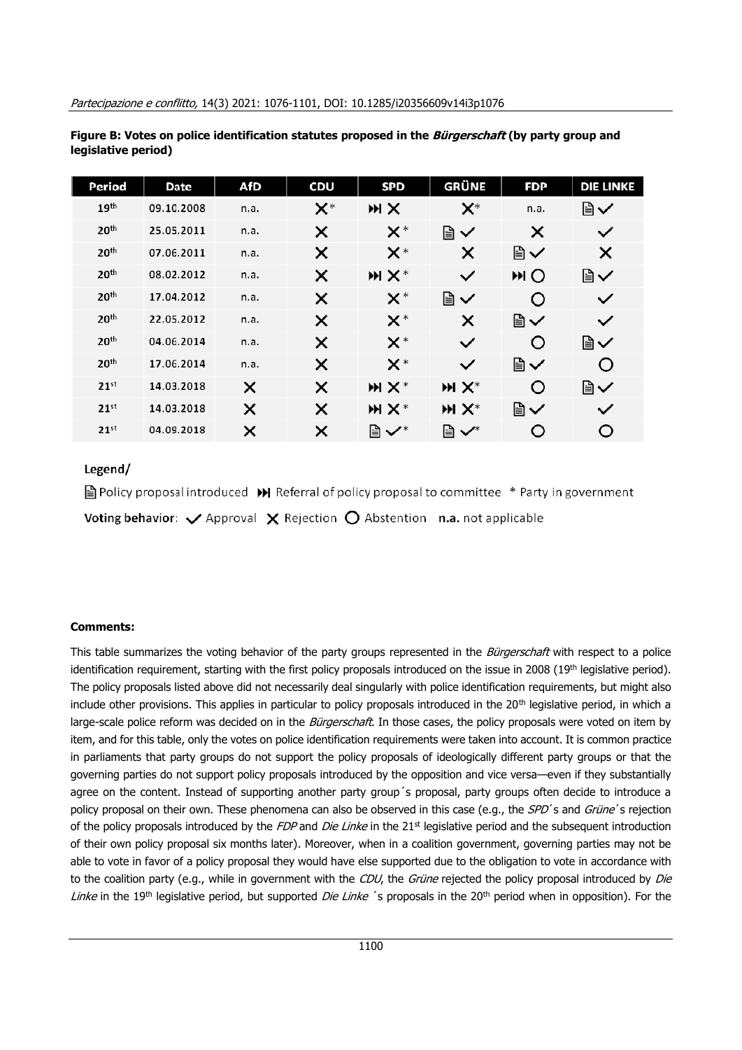| Period           | Date       | AfD  | <b>CDU</b>     | <b>SPD</b>     | GRÜNE          | <b>FDP</b> | <b>DIE LINKE</b> |
|------------------|------------|------|----------------|----------------|----------------|------------|------------------|
| 19 <sup>th</sup> | 09.10.2008 | n.a. | $\mathsf{X}^*$ | <b>MX</b>      | $\mathsf{X}^*$ | n.a.       | Ռ                |
| 20 <sup>th</sup> | 25.05.2011 | n.a. | ×              | $\mathsf{X}^*$ | Ռ              | X          | $\checkmark$     |
| 20 <sup>th</sup> | 07.06.2011 | n.a. | ×              | $\mathsf{X}^*$ | ×              | Ռ          | X                |
| 20 <sup>th</sup> | 08.02.2012 | n.a. | X              | $M X^*$        | $\checkmark$   | <b>MO</b>  | Ռ                |
| 20 <sup>th</sup> | 17.04.2012 | n.a. | X              | $\mathsf{X}^*$ | ≧∨             | O          | $\checkmark$     |
| 20 <sup>th</sup> | 22.05.2012 | n.a. | ×              | $\mathsf{X}^*$ | ×              | Ռ          | $\checkmark$     |
| 20 <sup>th</sup> | 04.06.2014 | n.a. | X              | $\mathsf{X}^*$ | $\checkmark$   | O          | Ռ                |
| 20 <sup>th</sup> | 17.06.2014 | n.a. | X              | $\mathsf{X}^*$ | $\checkmark$   | Ռ          | O                |
| 21 <sup>st</sup> | 14.03.2018 | X    | X              | $M X^*$        | $M X^*$        | O          | Ռ                |
| 21 <sup>st</sup> | 14.03.2018 | X    | X              | $M X^*$        | $M X^*$        | Ռ          | $\checkmark$     |
| 21 <sup>st</sup> | 04.09.2018 | X    | ×              | 圖✔*            | ∥ √*           | O          | O                |

**Figure B: Votes on police identification statutes proposed in the Bürgerschaft (by party group and legislative period)**

# Legend/

 $\Box$  Policy proposal introduced  $\Box$  Referral of policy proposal to committee  $*$  Party in government Voting behavior:  $\vee$  Approval  $\times$  Rejection  $\bigcirc$  Abstention n.a. not applicable

## **Comments:**

This table summarizes the voting behavior of the party groups represented in the Bürgerschaft with respect to a police identification requirement, starting with the first policy proposals introduced on the issue in 2008 (19th legislative period). The policy proposals listed above did not necessarily deal singularly with police identification requirements, but might also include other provisions. This applies in particular to policy proposals introduced in the 20<sup>th</sup> legislative period, in which a large-scale police reform was decided on in the Bürgerschaft. In those cases, the policy proposals were voted on item by item, and for this table, only the votes on police identification requirements were taken into account. It is common practice in parliaments that party groups do not support the policy proposals of ideologically different party groups or that the governing parties do not support policy proposals introduced by the opposition and vice versa—even if they substantially agree on the content. Instead of supporting another party group´s proposal, party groups often decide to introduce a policy proposal on their own. These phenomena can also be observed in this case (e.g., the SPD's and Grüne's rejection of the policy proposals introduced by the FDP and Die Linke in the  $21<sup>st</sup>$  legislative period and the subsequent introduction of their own policy proposal six months later). Moreover, when in a coalition government, governing parties may not be able to vote in favor of a policy proposal they would have else supported due to the obligation to vote in accordance with to the coalition party (e.g., while in government with the CDU, the Grüne rejected the policy proposal introduced by Die Linke in the 19<sup>th</sup> legislative period, but supported *Die Linke* 's proposals in the 20<sup>th</sup> period when in opposition). For the